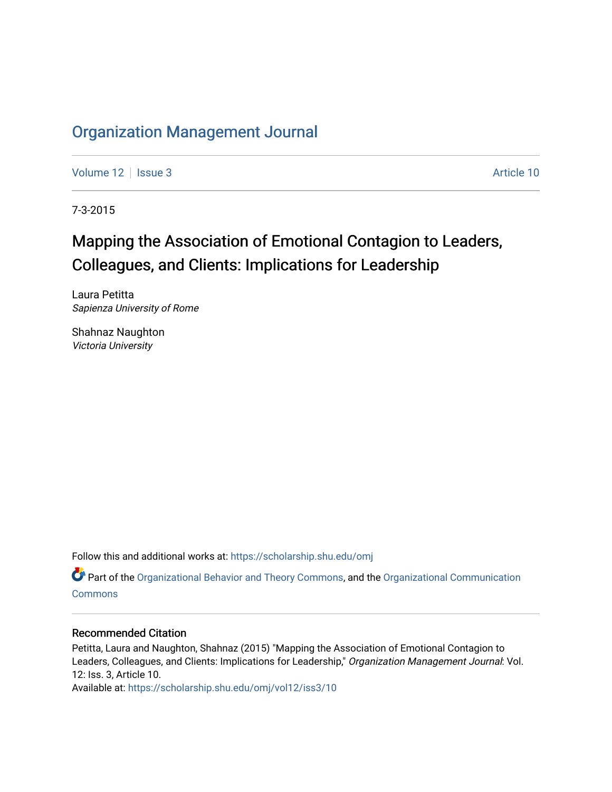# [Organization Management Journal](https://scholarship.shu.edu/omj)

[Volume 12](https://scholarship.shu.edu/omj/vol12) | [Issue 3](https://scholarship.shu.edu/omj/vol12/iss3) Article 10

7-3-2015

# Mapping the Association of Emotional Contagion to Leaders, Colleagues, and Clients: Implications for Leadership

Laura Petitta Sapienza University of Rome

Shahnaz Naughton Victoria University

Follow this and additional works at: [https://scholarship.shu.edu/omj](https://scholarship.shu.edu/omj?utm_source=scholarship.shu.edu%2Fomj%2Fvol12%2Fiss3%2F10&utm_medium=PDF&utm_campaign=PDFCoverPages) 

Part of the [Organizational Behavior and Theory Commons,](http://network.bepress.com/hgg/discipline/639?utm_source=scholarship.shu.edu%2Fomj%2Fvol12%2Fiss3%2F10&utm_medium=PDF&utm_campaign=PDFCoverPages) and the [Organizational Communication](http://network.bepress.com/hgg/discipline/335?utm_source=scholarship.shu.edu%2Fomj%2Fvol12%2Fiss3%2F10&utm_medium=PDF&utm_campaign=PDFCoverPages) **[Commons](http://network.bepress.com/hgg/discipline/335?utm_source=scholarship.shu.edu%2Fomj%2Fvol12%2Fiss3%2F10&utm_medium=PDF&utm_campaign=PDFCoverPages)** 

## Recommended Citation

Petitta, Laura and Naughton, Shahnaz (2015) "Mapping the Association of Emotional Contagion to Leaders, Colleagues, and Clients: Implications for Leadership," Organization Management Journal: Vol. 12: Iss. 3, Article 10.

Available at: [https://scholarship.shu.edu/omj/vol12/iss3/10](https://scholarship.shu.edu/omj/vol12/iss3/10?utm_source=scholarship.shu.edu%2Fomj%2Fvol12%2Fiss3%2F10&utm_medium=PDF&utm_campaign=PDFCoverPages)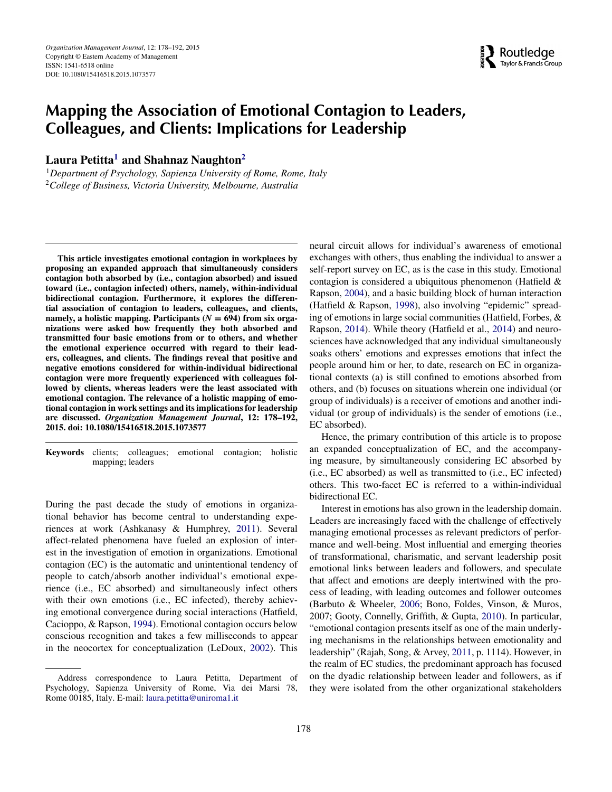

# **Mapping the Association of Emotional Contagion to Leaders, Colleagues, and Clients: Implications for Leadership**

## **Laura Petitta[1](#page-1-0) and Shahnaz Naughton[2](#page-1-0)**

<span id="page-1-0"></span><sup>1</sup>*Department of Psychology, Sapienza University of Rome, Rome, Italy* <sup>2</sup>*College of Business, Victoria University, Melbourne, Australia*

**This article investigates emotional contagion in workplaces by proposing an expanded approach that simultaneously considers contagion both absorbed by (i.e., contagion absorbed) and issued toward (i.e., contagion infected) others, namely, within-individual bidirectional contagion. Furthermore, it explores the differential association of contagion to leaders, colleagues, and clients,** namely, a holistic mapping. Participants  $(N = 694)$  from six orga**nizations were asked how frequently they both absorbed and transmitted four basic emotions from or to others, and whether the emotional experience occurred with regard to their leaders, colleagues, and clients. The findings reveal that positive and negative emotions considered for within-individual bidirectional contagion were more frequently experienced with colleagues followed by clients, whereas leaders were the least associated with emotional contagion. The relevance of a holistic mapping of emotional contagion in work settings and its implications for leadership are discussed.** *Organization Management Journal***, 12: 178–192, 2015. doi: 10.1080/15416518.2015.1073577**

**Keywords** clients; colleagues; emotional contagion; holistic mapping; leaders

During the past decade the study of emotions in organizational behavior has become central to understanding experiences at work (Ashkanasy & Humphrey, [2011\)](#page-13-0). Several affect-related phenomena have fueled an explosion of interest in the investigation of emotion in organizations. Emotional contagion (EC) is the automatic and unintentional tendency of people to catch/absorb another individual's emotional experience (i.e., EC absorbed) and simultaneously infect others with their own emotions (i.e., EC infected), thereby achieving emotional convergence during social interactions (Hatfield, Cacioppo, & Rapson, [1994\)](#page-14-0). Emotional contagion occurs below conscious recognition and takes a few milliseconds to appear in the neocortex for conceptualization (LeDoux, [2002\)](#page-14-1). This

neural circuit allows for individual's awareness of emotional exchanges with others, thus enabling the individual to answer a self-report survey on EC, as is the case in this study. Emotional contagion is considered a ubiquitous phenomenon (Hatfield & Rapson, [2004\)](#page-14-2), and a basic building block of human interaction (Hatfield & Rapson, [1998\)](#page-14-3), also involving "epidemic" spreading of emotions in large social communities (Hatfield, Forbes, & Rapson, [2014\)](#page-14-4). While theory (Hatfield et al., [2014\)](#page-14-4) and neurosciences have acknowledged that any individual simultaneously soaks others' emotions and expresses emotions that infect the people around him or her, to date, research on EC in organizational contexts (a) is still confined to emotions absorbed from others, and (b) focuses on situations wherein one individual (or group of individuals) is a receiver of emotions and another individual (or group of individuals) is the sender of emotions (i.e., EC absorbed).

Hence, the primary contribution of this article is to propose an expanded conceptualization of EC, and the accompanying measure, by simultaneously considering EC absorbed by (i.e., EC absorbed) as well as transmitted to (i.e., EC infected) others. This two-facet EC is referred to a within-individual bidirectional EC.

Interest in emotions has also grown in the leadership domain. Leaders are increasingly faced with the challenge of effectively managing emotional processes as relevant predictors of performance and well-being. Most influential and emerging theories of transformational, charismatic, and servant leadership posit emotional links between leaders and followers, and speculate that affect and emotions are deeply intertwined with the process of leading, with leading outcomes and follower outcomes (Barbuto & Wheeler, [2006;](#page-13-1) Bono, Foldes, Vinson, & Muros, 2007; Gooty, Connelly, Griffith, & Gupta, [2010\)](#page-14-5). In particular, "emotional contagion presents itself as one of the main underlying mechanisms in the relationships between emotionality and leadership" (Rajah, Song, & Arvey, [2011,](#page-14-6) p. 1114). However, in the realm of EC studies, the predominant approach has focused on the dyadic relationship between leader and followers, as if they were isolated from the other organizational stakeholders

Address correspondence to Laura Petitta, Department of Psychology, Sapienza University of Rome, Via dei Marsi 78, Rome 00185, Italy. E-mail: laura.petitta@uniroma1.it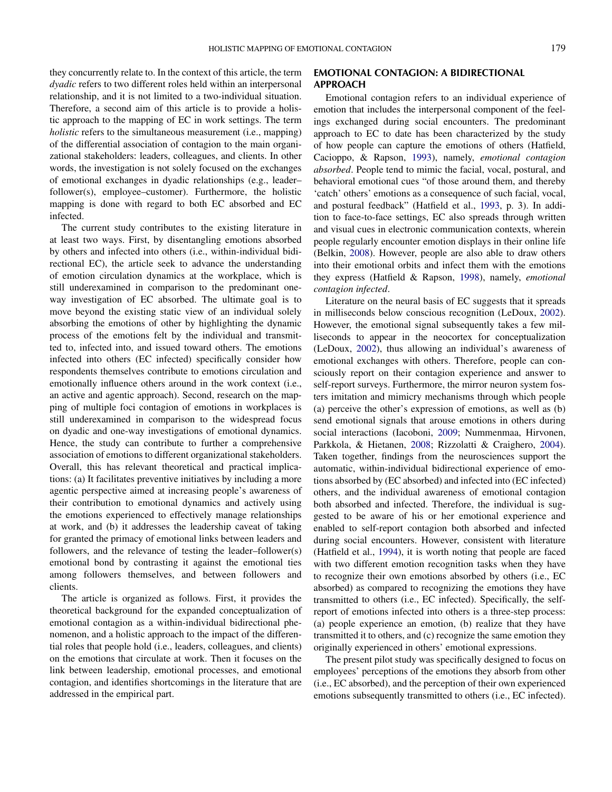they concurrently relate to. In the context of this article, the term *dyadic* refers to two different roles held within an interpersonal relationship, and it is not limited to a two-individual situation. Therefore, a second aim of this article is to provide a holistic approach to the mapping of EC in work settings. The term *holistic* refers to the simultaneous measurement (i.e., mapping) of the differential association of contagion to the main organizational stakeholders: leaders, colleagues, and clients. In other words, the investigation is not solely focused on the exchanges of emotional exchanges in dyadic relationships (e.g., leader– follower(s), employee–customer). Furthermore, the holistic mapping is done with regard to both EC absorbed and EC infected.

The current study contributes to the existing literature in at least two ways. First, by disentangling emotions absorbed by others and infected into others (i.e., within-individual bidirectional EC), the article seek to advance the understanding of emotion circulation dynamics at the workplace, which is still underexamined in comparison to the predominant oneway investigation of EC absorbed. The ultimate goal is to move beyond the existing static view of an individual solely absorbing the emotions of other by highlighting the dynamic process of the emotions felt by the individual and transmitted to, infected into, and issued toward others. The emotions infected into others (EC infected) specifically consider how respondents themselves contribute to emotions circulation and emotionally influence others around in the work context (i.e., an active and agentic approach). Second, research on the mapping of multiple foci contagion of emotions in workplaces is still underexamined in comparison to the widespread focus on dyadic and one-way investigations of emotional dynamics. Hence, the study can contribute to further a comprehensive association of emotions to different organizational stakeholders. Overall, this has relevant theoretical and practical implications: (a) It facilitates preventive initiatives by including a more agentic perspective aimed at increasing people's awareness of their contribution to emotional dynamics and actively using the emotions experienced to effectively manage relationships at work, and (b) it addresses the leadership caveat of taking for granted the primacy of emotional links between leaders and followers, and the relevance of testing the leader–follower(s) emotional bond by contrasting it against the emotional ties among followers themselves, and between followers and clients.

The article is organized as follows. First, it provides the theoretical background for the expanded conceptualization of emotional contagion as a within-individual bidirectional phenomenon, and a holistic approach to the impact of the differential roles that people hold (i.e., leaders, colleagues, and clients) on the emotions that circulate at work. Then it focuses on the link between leadership, emotional processes, and emotional contagion, and identifies shortcomings in the literature that are addressed in the empirical part.

#### **EMOTIONAL CONTAGION: A BIDIRECTIONAL APPROACH**

Emotional contagion refers to an individual experience of emotion that includes the interpersonal component of the feelings exchanged during social encounters. The predominant approach to EC to date has been characterized by the study of how people can capture the emotions of others (Hatfield, Cacioppo, & Rapson, [1993\)](#page-14-7), namely, *emotional contagion absorbed*. People tend to mimic the facial, vocal, postural, and behavioral emotional cues "of those around them, and thereby 'catch' others' emotions as a consequence of such facial, vocal, and postural feedback" (Hatfield et al., [1993,](#page-14-7) p. 3). In addition to face-to-face settings, EC also spreads through written and visual cues in electronic communication contexts, wherein people regularly encounter emotion displays in their online life (Belkin, [2008\)](#page-13-2). However, people are also able to draw others into their emotional orbits and infect them with the emotions they express (Hatfield & Rapson, [1998\)](#page-14-3), namely, *emotional contagion infected*.

Literature on the neural basis of EC suggests that it spreads in milliseconds below conscious recognition (LeDoux, [2002\)](#page-14-1). However, the emotional signal subsequently takes a few milliseconds to appear in the neocortex for conceptualization (LeDoux, [2002\)](#page-14-1), thus allowing an individual's awareness of emotional exchanges with others. Therefore, people can consciously report on their contagion experience and answer to self-report surveys. Furthermore, the mirror neuron system fosters imitation and mimicry mechanisms through which people (a) perceive the other's expression of emotions, as well as (b) send emotional signals that arouse emotions in others during social interactions (Iacoboni, [2009;](#page-14-8) Nummenmaa, Hirvonen, Parkkola, & Hietanen, [2008;](#page-14-9) Rizzolatti & Craighero, [2004\)](#page-14-10). Taken together, findings from the neurosciences support the automatic, within-individual bidirectional experience of emotions absorbed by (EC absorbed) and infected into (EC infected) others, and the individual awareness of emotional contagion both absorbed and infected. Therefore, the individual is suggested to be aware of his or her emotional experience and enabled to self-report contagion both absorbed and infected during social encounters. However, consistent with literature (Hatfield et al., [1994\)](#page-14-0), it is worth noting that people are faced with two different emotion recognition tasks when they have to recognize their own emotions absorbed by others (i.e., EC absorbed) as compared to recognizing the emotions they have transmitted to others (i.e., EC infected). Specifically, the selfreport of emotions infected into others is a three-step process: (a) people experience an emotion, (b) realize that they have transmitted it to others, and (c) recognize the same emotion they originally experienced in others' emotional expressions.

The present pilot study was specifically designed to focus on employees' perceptions of the emotions they absorb from other (i.e., EC absorbed), and the perception of their own experienced emotions subsequently transmitted to others (i.e., EC infected).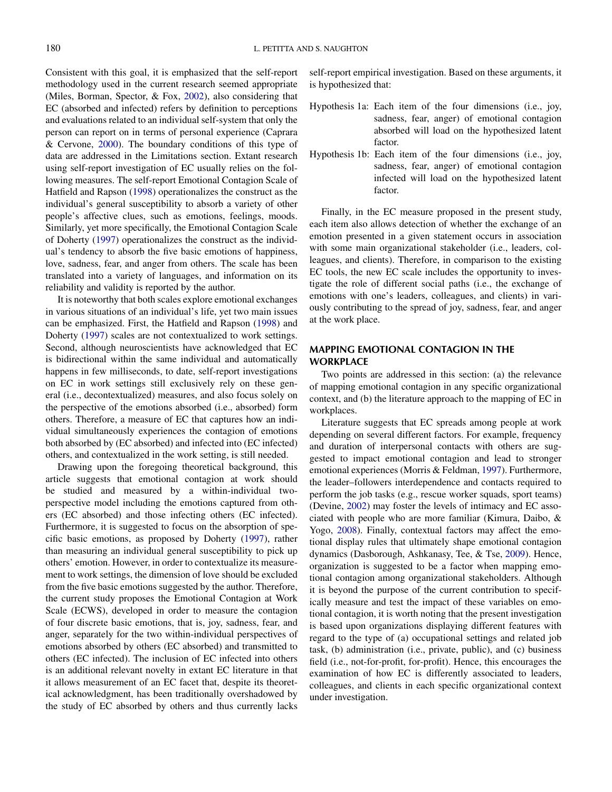Consistent with this goal, it is emphasized that the self-report methodology used in the current research seemed appropriate (Miles, Borman, Spector, & Fox, [2002\)](#page-14-11), also considering that EC (absorbed and infected) refers by definition to perceptions and evaluations related to an individual self-system that only the person can report on in terms of personal experience (Caprara & Cervone, [2000\)](#page-14-12). The boundary conditions of this type of data are addressed in the Limitations section. Extant research using self-report investigation of EC usually relies on the following measures. The self-report Emotional Contagion Scale of Hatfield and Rapson [\(1998\)](#page-14-3) operationalizes the construct as the individual's general susceptibility to absorb a variety of other people's affective clues, such as emotions, feelings, moods. Similarly, yet more specifically, the Emotional Contagion Scale of Doherty [\(1997\)](#page-14-13) operationalizes the construct as the individual's tendency to absorb the five basic emotions of happiness, love, sadness, fear, and anger from others. The scale has been translated into a variety of languages, and information on its reliability and validity is reported by the author.

It is noteworthy that both scales explore emotional exchanges in various situations of an individual's life, yet two main issues can be emphasized. First, the Hatfield and Rapson [\(1998\)](#page-14-3) and Doherty [\(1997\)](#page-14-13) scales are not contextualized to work settings. Second, although neuroscientists have acknowledged that EC is bidirectional within the same individual and automatically happens in few milliseconds, to date, self-report investigations on EC in work settings still exclusively rely on these general (i.e., decontextualized) measures, and also focus solely on the perspective of the emotions absorbed (i.e., absorbed) form others. Therefore, a measure of EC that captures how an individual simultaneously experiences the contagion of emotions both absorbed by (EC absorbed) and infected into (EC infected) others, and contextualized in the work setting, is still needed.

Drawing upon the foregoing theoretical background, this article suggests that emotional contagion at work should be studied and measured by a within-individual twoperspective model including the emotions captured from others (EC absorbed) and those infecting others (EC infected). Furthermore, it is suggested to focus on the absorption of specific basic emotions, as proposed by Doherty [\(1997\)](#page-14-13), rather than measuring an individual general susceptibility to pick up others' emotion. However, in order to contextualize its measurement to work settings, the dimension of love should be excluded from the five basic emotions suggested by the author. Therefore, the current study proposes the Emotional Contagion at Work Scale (ECWS), developed in order to measure the contagion of four discrete basic emotions, that is, joy, sadness, fear, and anger, separately for the two within-individual perspectives of emotions absorbed by others (EC absorbed) and transmitted to others (EC infected). The inclusion of EC infected into others is an additional relevant novelty in extant EC literature in that it allows measurement of an EC facet that, despite its theoretical acknowledgment, has been traditionally overshadowed by the study of EC absorbed by others and thus currently lacks

self-report empirical investigation. Based on these arguments, it is hypothesized that:

- Hypothesis 1a: Each item of the four dimensions (i.e., joy, sadness, fear, anger) of emotional contagion absorbed will load on the hypothesized latent factor.
- Hypothesis 1b: Each item of the four dimensions (i.e., joy, sadness, fear, anger) of emotional contagion infected will load on the hypothesized latent factor.

Finally, in the EC measure proposed in the present study, each item also allows detection of whether the exchange of an emotion presented in a given statement occurs in association with some main organizational stakeholder (i.e., leaders, colleagues, and clients). Therefore, in comparison to the existing EC tools, the new EC scale includes the opportunity to investigate the role of different social paths (i.e., the exchange of emotions with one's leaders, colleagues, and clients) in variously contributing to the spread of joy, sadness, fear, and anger at the work place.

#### **MAPPING EMOTIONAL CONTAGION IN THE WORKPLACE**

Two points are addressed in this section: (a) the relevance of mapping emotional contagion in any specific organizational context, and (b) the literature approach to the mapping of EC in workplaces.

Literature suggests that EC spreads among people at work depending on several different factors. For example, frequency and duration of interpersonal contacts with others are suggested to impact emotional contagion and lead to stronger emotional experiences (Morris & Feldman, [1997\)](#page-14-14). Furthermore, the leader–followers interdependence and contacts required to perform the job tasks (e.g., rescue worker squads, sport teams) (Devine, [2002\)](#page-14-15) may foster the levels of intimacy and EC associated with people who are more familiar (Kimura, Daibo, & Yogo, [2008\)](#page-14-16). Finally, contextual factors may affect the emotional display rules that ultimately shape emotional contagion dynamics (Dasborough, Ashkanasy, Tee, & Tse, [2009\)](#page-14-17). Hence, organization is suggested to be a factor when mapping emotional contagion among organizational stakeholders. Although it is beyond the purpose of the current contribution to specifically measure and test the impact of these variables on emotional contagion, it is worth noting that the present investigation is based upon organizations displaying different features with regard to the type of (a) occupational settings and related job task, (b) administration (i.e., private, public), and (c) business field (i.e., not-for-profit, for-profit). Hence, this encourages the examination of how EC is differently associated to leaders, colleagues, and clients in each specific organizational context under investigation.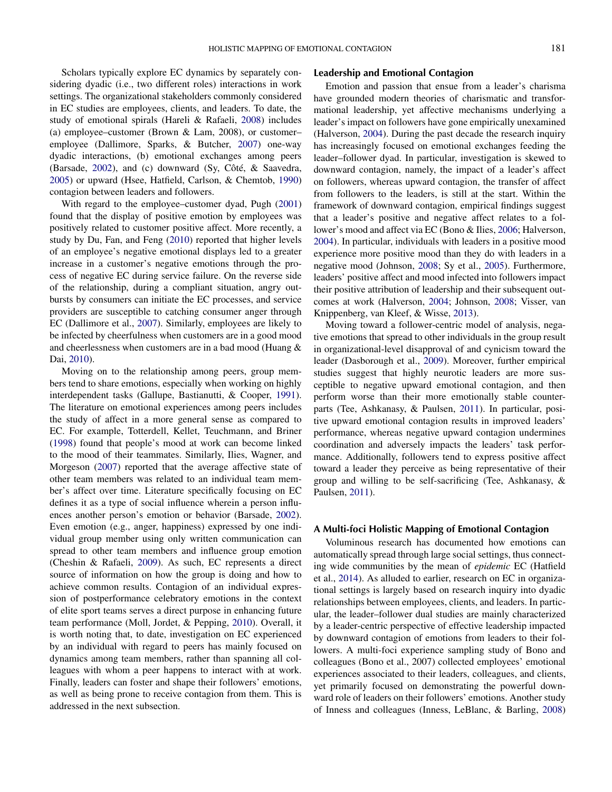Scholars typically explore EC dynamics by separately considering dyadic (i.e., two different roles) interactions in work settings. The organizational stakeholders commonly considered in EC studies are employees, clients, and leaders. To date, the study of emotional spirals (Hareli & Rafaeli, [2008\)](#page-14-18) includes (a) employee–customer (Brown & Lam, 2008), or customer– employee (Dallimore, Sparks, & Butcher, [2007\)](#page-14-19) one-way dyadic interactions, (b) emotional exchanges among peers (Barsade, [2002\)](#page-13-3), and (c) downward (Sy, Côté, & Saavedra, [2005\)](#page-15-0) or upward (Hsee, Hatfield, Carlson, & Chemtob, [1990\)](#page-14-20) contagion between leaders and followers.

With regard to the employee–customer dyad, Pugh [\(2001\)](#page-14-21) found that the display of positive emotion by employees was positively related to customer positive affect. More recently, a study by Du, Fan, and Feng [\(2010\)](#page-14-22) reported that higher levels of an employee's negative emotional displays led to a greater increase in a customer's negative emotions through the process of negative EC during service failure. On the reverse side of the relationship, during a compliant situation, angry outbursts by consumers can initiate the EC processes, and service providers are susceptible to catching consumer anger through EC (Dallimore et al., [2007\)](#page-14-19). Similarly, employees are likely to be infected by cheerfulness when customers are in a good mood and cheerlessness when customers are in a bad mood (Huang & Dai, [2010\)](#page-14-23).

Moving on to the relationship among peers, group members tend to share emotions, especially when working on highly interdependent tasks (Gallupe, Bastianutti, & Cooper, [1991\)](#page-14-24). The literature on emotional experiences among peers includes the study of affect in a more general sense as compared to EC. For example, Totterdell, Kellet, Teuchmann, and Briner [\(1998\)](#page-15-1) found that people's mood at work can become linked to the mood of their teammates. Similarly, Ilies, Wagner, and Morgeson [\(2007\)](#page-14-25) reported that the average affective state of other team members was related to an individual team member's affect over time. Literature specifically focusing on EC defines it as a type of social influence wherein a person influences another person's emotion or behavior (Barsade, [2002\)](#page-13-3). Even emotion (e.g., anger, happiness) expressed by one individual group member using only written communication can spread to other team members and influence group emotion (Cheshin & Rafaeli, [2009\)](#page-14-26). As such, EC represents a direct source of information on how the group is doing and how to achieve common results. Contagion of an individual expression of postperformance celebratory emotions in the context of elite sport teams serves a direct purpose in enhancing future team performance (Moll, Jordet, & Pepping, [2010\)](#page-14-27). Overall, it is worth noting that, to date, investigation on EC experienced by an individual with regard to peers has mainly focused on dynamics among team members, rather than spanning all colleagues with whom a peer happens to interact with at work. Finally, leaders can foster and shape their followers' emotions, as well as being prone to receive contagion from them. This is addressed in the next subsection.

#### **Leadership and Emotional Contagion**

Emotion and passion that ensue from a leader's charisma have grounded modern theories of charismatic and transformational leadership, yet affective mechanisms underlying a leader's impact on followers have gone empirically unexamined (Halverson, [2004\)](#page-14-28). During the past decade the research inquiry has increasingly focused on emotional exchanges feeding the leader–follower dyad. In particular, investigation is skewed to downward contagion, namely, the impact of a leader's affect on followers, whereas upward contagion, the transfer of affect from followers to the leaders, is still at the start. Within the framework of downward contagion, empirical findings suggest that a leader's positive and negative affect relates to a follower's mood and affect via EC (Bono & Ilies, [2006;](#page-13-4) Halverson, [2004\)](#page-14-28). In particular, individuals with leaders in a positive mood experience more positive mood than they do with leaders in a negative mood (Johnson, [2008;](#page-14-29) Sy et al., [2005\)](#page-15-0). Furthermore, leaders' positive affect and mood infected into followers impact their positive attribution of leadership and their subsequent outcomes at work (Halverson, [2004;](#page-14-28) Johnson, [2008;](#page-14-29) Visser, van Knippenberg, van Kleef, & Wisse, [2013\)](#page-15-2).

Moving toward a follower-centric model of analysis, negative emotions that spread to other individuals in the group result in organizational-level disapproval of and cynicism toward the leader (Dasborough et al., [2009\)](#page-14-17). Moreover, further empirical studies suggest that highly neurotic leaders are more susceptible to negative upward emotional contagion, and then perform worse than their more emotionally stable counterparts (Tee, Ashkanasy, & Paulsen, [2011\)](#page-15-3). In particular, positive upward emotional contagion results in improved leaders' performance, whereas negative upward contagion undermines coordination and adversely impacts the leaders' task performance. Additionally, followers tend to express positive affect toward a leader they perceive as being representative of their group and willing to be self-sacrificing (Tee, Ashkanasy, & Paulsen, [2011\)](#page-15-3).

#### **A Multi-foci Holistic Mapping of Emotional Contagion**

Voluminous research has documented how emotions can automatically spread through large social settings, thus connecting wide communities by the mean of *epidemic* EC (Hatfield et al., [2014\)](#page-14-4). As alluded to earlier, research on EC in organizational settings is largely based on research inquiry into dyadic relationships between employees, clients, and leaders. In particular, the leader–follower dual studies are mainly characterized by a leader-centric perspective of effective leadership impacted by downward contagion of emotions from leaders to their followers. A multi-foci experience sampling study of Bono and colleagues (Bono et al., 2007) collected employees' emotional experiences associated to their leaders, colleagues, and clients, yet primarily focused on demonstrating the powerful downward role of leaders on their followers' emotions. Another study of Inness and colleagues (Inness, LeBlanc, & Barling, [2008\)](#page-14-30)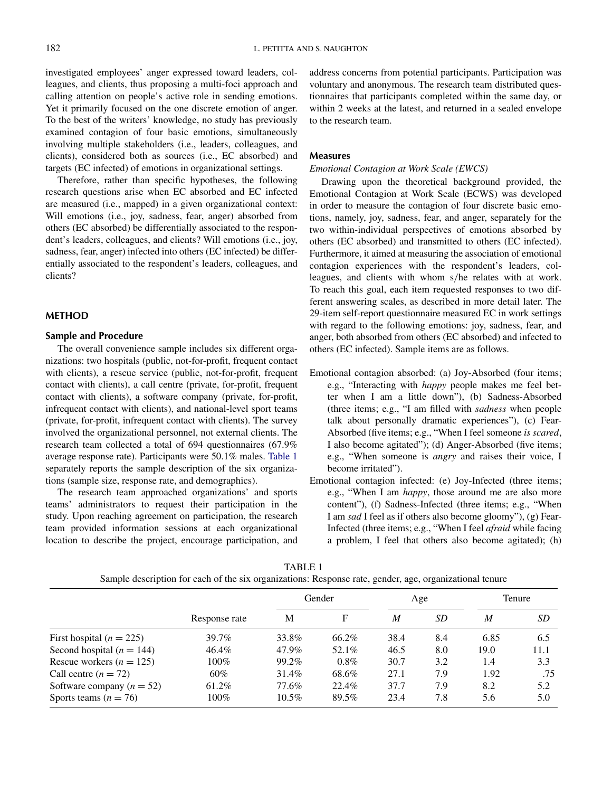investigated employees' anger expressed toward leaders, colleagues, and clients, thus proposing a multi-foci approach and calling attention on people's active role in sending emotions. Yet it primarily focused on the one discrete emotion of anger. To the best of the writers' knowledge, no study has previously examined contagion of four basic emotions, simultaneously involving multiple stakeholders (i.e., leaders, colleagues, and clients), considered both as sources (i.e., EC absorbed) and targets (EC infected) of emotions in organizational settings.

Therefore, rather than specific hypotheses, the following research questions arise when EC absorbed and EC infected are measured (i.e., mapped) in a given organizational context: Will emotions (i.e., joy, sadness, fear, anger) absorbed from others (EC absorbed) be differentially associated to the respondent's leaders, colleagues, and clients? Will emotions (i.e., joy, sadness, fear, anger) infected into others (EC infected) be differentially associated to the respondent's leaders, colleagues, and clients?

#### **METHOD**

#### **Sample and Procedure**

The overall convenience sample includes six different organizations: two hospitals (public, not-for-profit, frequent contact with clients), a rescue service (public, not-for-profit, frequent contact with clients), a call centre (private, for-profit, frequent contact with clients), a software company (private, for-profit, infrequent contact with clients), and national-level sport teams (private, for-profit, infrequent contact with clients). The survey involved the organizational personnel, not external clients. The research team collected a total of 694 questionnaires (67.9% average response rate). Participants were 50.1% males. [Table 1](#page-5-0) separately reports the sample description of the six organizations (sample size, response rate, and demographics).

The research team approached organizations' and sports teams' administrators to request their participation in the study. Upon reaching agreement on participation, the research team provided information sessions at each organizational location to describe the project, encourage participation, and address concerns from potential participants. Participation was voluntary and anonymous. The research team distributed questionnaires that participants completed within the same day, or within 2 weeks at the latest, and returned in a sealed envelope to the research team.

#### **Measures**

#### *Emotional Contagion at Work Scale (EWCS)*

Drawing upon the theoretical background provided, the Emotional Contagion at Work Scale (ECWS) was developed in order to measure the contagion of four discrete basic emotions, namely, joy, sadness, fear, and anger, separately for the two within-individual perspectives of emotions absorbed by others (EC absorbed) and transmitted to others (EC infected). Furthermore, it aimed at measuring the association of emotional contagion experiences with the respondent's leaders, colleagues, and clients with whom s/he relates with at work. To reach this goal, each item requested responses to two different answering scales, as described in more detail later. The 29-item self-report questionnaire measured EC in work settings with regard to the following emotions: joy, sadness, fear, and anger, both absorbed from others (EC absorbed) and infected to others (EC infected). Sample items are as follows.

- Emotional contagion absorbed: (a) Joy-Absorbed (four items; e.g., "Interacting with *happy* people makes me feel better when I am a little down"), (b) Sadness-Absorbed (three items; e.g., "I am filled with *sadness* when people talk about personally dramatic experiences"), (c) Fear-Absorbed (five items; e.g., "When I feel someone *is scared*, I also become agitated"); (d) Anger-Absorbed (five items; e.g., "When someone is *angry* and raises their voice, I become irritated").
- <span id="page-5-0"></span>Emotional contagion infected: (e) Joy-Infected (three items; e.g., "When I am *happy*, those around me are also more content"), (f) Sadness-Infected (three items; e.g., "When I am *sad* I feel as if others also become gloomy"), (g) Fear-Infected (three items; e.g., "When I feel *afraid* while facing a problem, I feel that others also become agitated); (h)

|               |          |         |        |     |      | Tenure |
|---------------|----------|---------|--------|-----|------|--------|
| Response rate | M        | F       | M      | SD  | M    | SD     |
| 39.7%         | 33.8%    | 66.2%   | 38.4   | 8.4 | 6.85 | 6.5    |
| 46.4%         | 47.9%    | 52.1%   | 46.5   | 8.0 | 19.0 | 11.1   |
| 100%          | 99.2%    | $0.8\%$ | 30.7   | 3.2 | 1.4  | 3.3    |
| 60%           | 31.4%    | 68.6%   | 27.1   | 7.9 | 1.92 | .75    |
| 61.2%         | 77.6%    | 22.4%   | 37.7   | 7.9 | 8.2  | 5.2    |
| 100%          | $10.5\%$ | 89.5%   | 23.4   | 7.8 | 5.6  | 5.0    |
|               |          |         | Gender |     | Age  |        |

TABLE 1 Sample description for each of the six organizations: Response rate, gender, age, organizational tenure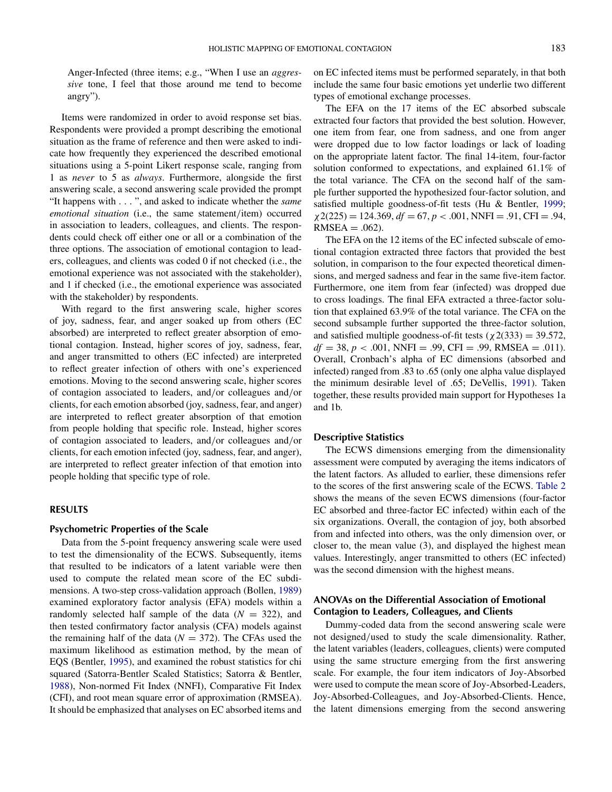Anger-Infected (three items; e.g., "When I use an *aggressive* tone, I feel that those around me tend to become angry").

Items were randomized in order to avoid response set bias. Respondents were provided a prompt describing the emotional situation as the frame of reference and then were asked to indicate how frequently they experienced the described emotional situations using a 5-point Likert response scale, ranging from 1 as *never* to 5 as *always*. Furthermore, alongside the first answering scale, a second answering scale provided the prompt "It happens with ... ", and asked to indicate whether the *same emotional situation* (i.e., the same statement/item) occurred in association to leaders, colleagues, and clients. The respondents could check off either one or all or a combination of the three options. The association of emotional contagion to leaders, colleagues, and clients was coded 0 if not checked (i.e., the emotional experience was not associated with the stakeholder), and 1 if checked (i.e., the emotional experience was associated with the stakeholder) by respondents.

With regard to the first answering scale, higher scores of joy, sadness, fear, and anger soaked up from others (EC absorbed) are interpreted to reflect greater absorption of emotional contagion. Instead, higher scores of joy, sadness, fear, and anger transmitted to others (EC infected) are interpreted to reflect greater infection of others with one's experienced emotions. Moving to the second answering scale, higher scores of contagion associated to leaders, and/or colleagues and/or clients, for each emotion absorbed (joy, sadness, fear, and anger) are interpreted to reflect greater absorption of that emotion from people holding that specific role. Instead, higher scores of contagion associated to leaders, and/or colleagues and/or clients, for each emotion infected (joy, sadness, fear, and anger), are interpreted to reflect greater infection of that emotion into people holding that specific type of role.

#### **RESULTS**

#### **Psychometric Properties of the Scale**

Data from the 5-point frequency answering scale were used to test the dimensionality of the ECWS. Subsequently, items that resulted to be indicators of a latent variable were then used to compute the related mean score of the EC subdimensions. A two-step cross-validation approach (Bollen, [1989\)](#page-13-5) examined exploratory factor analysis (EFA) models within a randomly selected half sample of the data  $(N = 322)$ , and then tested confirmatory factor analysis (CFA) models against the remaining half of the data  $(N = 372)$ . The CFAs used the maximum likelihood as estimation method, by the mean of EQS (Bentler, [1995\)](#page-13-6), and examined the robust statistics for chi squared (Satorra-Bentler Scaled Statistics; Satorra & Bentler, [1988\)](#page-14-31), Non-normed Fit Index (NNFI), Comparative Fit Index (CFI), and root mean square error of approximation (RMSEA). It should be emphasized that analyses on EC absorbed items and on EC infected items must be performed separately, in that both include the same four basic emotions yet underlie two different types of emotional exchange processes.

The EFA on the 17 items of the EC absorbed subscale extracted four factors that provided the best solution. However, one item from fear, one from sadness, and one from anger were dropped due to low factor loadings or lack of loading on the appropriate latent factor. The final 14-item, four-factor solution conformed to expectations, and explained 61.1% of the total variance. The CFA on the second half of the sample further supported the hypothesized four-factor solution, and satisfied multiple goodness-of-fit tests (Hu & Bentler, [1999;](#page-14-32)  $\chi$  2(225) = 124.369,  $df = 67$ ,  $p < .001$ , NNFI = .91, CFI = .94,  $RMSEA = .062$ ).

The EFA on the 12 items of the EC infected subscale of emotional contagion extracted three factors that provided the best solution, in comparison to the four expected theoretical dimensions, and merged sadness and fear in the same five-item factor. Furthermore, one item from fear (infected) was dropped due to cross loadings. The final EFA extracted a three-factor solution that explained 63.9% of the total variance. The CFA on the second subsample further supported the three-factor solution, and satisfied multiple goodness-of-fit tests  $(\chi 2(333) = 39.572,$  $df = 38$ ,  $p < .001$ , NNFI = .99, CFI = .99, RMSEA = .011). Overall, Cronbach's alpha of EC dimensions (absorbed and infected) ranged from .83 to .65 (only one alpha value displayed the minimum desirable level of .65; DeVellis, [1991\)](#page-14-33). Taken together, these results provided main support for Hypotheses 1a and 1b.

#### **Descriptive Statistics**

The ECWS dimensions emerging from the dimensionality assessment were computed by averaging the items indicators of the latent factors. As alluded to earlier, these dimensions refer to the scores of the first answering scale of the ECWS. [Table 2](#page-7-0) shows the means of the seven ECWS dimensions (four-factor EC absorbed and three-factor EC infected) within each of the six organizations. Overall, the contagion of joy, both absorbed from and infected into others, was the only dimension over, or closer to, the mean value (3), and displayed the highest mean values. Interestingly, anger transmitted to others (EC infected) was the second dimension with the highest means.

### **ANOVAs on the Differential Association of Emotional Contagion to Leaders, Colleagues, and Clients**

Dummy-coded data from the second answering scale were not designed/used to study the scale dimensionality. Rather, the latent variables (leaders, colleagues, clients) were computed using the same structure emerging from the first answering scale. For example, the four item indicators of Joy-Absorbed were used to compute the mean score of Joy-Absorbed-Leaders, Joy-Absorbed-Colleagues, and Joy-Absorbed-Clients. Hence, the latent dimensions emerging from the second answering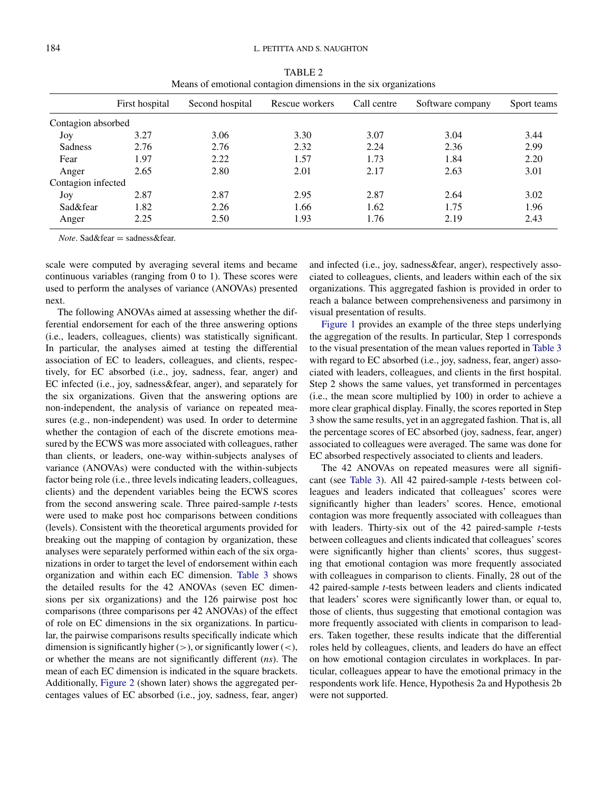|                    | First hospital | Second hospital | Rescue workers | Call centre | Software company | Sport teams |
|--------------------|----------------|-----------------|----------------|-------------|------------------|-------------|
| Contagion absorbed |                |                 |                |             |                  |             |
| Joy                | 3.27           | 3.06            | 3.30           | 3.07        | 3.04             | 3.44        |
| Sadness            | 2.76           | 2.76            | 2.32           | 2.24        | 2.36             | 2.99        |
| Fear               | 1.97           | 2.22            | 1.57           | 1.73        | 1.84             | 2.20        |
| Anger              | 2.65           | 2.80            | 2.01           | 2.17        | 2.63             | 3.01        |
| Contagion infected |                |                 |                |             |                  |             |
| Joy                | 2.87           | 2.87            | 2.95           | 2.87        | 2.64             | 3.02        |
| Sad&fear           | 1.82           | 2.26            | 1.66           | 1.62        | 1.75             | 1.96        |
| Anger              | 2.25           | 2.50            | 1.93           | 1.76        | 2.19             | 2.43        |
|                    |                |                 |                |             |                  |             |

TABLE 2 Means of emotional contagion dimensions in the six organizations

*Note*. Sad&fear = sadness&fear.

scale were computed by averaging several items and became continuous variables (ranging from 0 to 1). These scores were used to perform the analyses of variance (ANOVAs) presented next.

The following ANOVAs aimed at assessing whether the differential endorsement for each of the three answering options (i.e., leaders, colleagues, clients) was statistically significant. In particular, the analyses aimed at testing the differential association of EC to leaders, colleagues, and clients, respectively, for EC absorbed (i.e., joy, sadness, fear, anger) and EC infected (i.e., joy, sadness&fear, anger), and separately for the six organizations. Given that the answering options are non-independent, the analysis of variance on repeated measures (e.g., non-independent) was used. In order to determine whether the contagion of each of the discrete emotions measured by the ECWS was more associated with colleagues, rather than clients, or leaders, one-way within-subjects analyses of variance (ANOVAs) were conducted with the within-subjects factor being role (i.e., three levels indicating leaders, colleagues, clients) and the dependent variables being the ECWS scores from the second answering scale. Three paired-sample *t*-tests were used to make post hoc comparisons between conditions (levels). Consistent with the theoretical arguments provided for breaking out the mapping of contagion by organization, these analyses were separately performed within each of the six organizations in order to target the level of endorsement within each organization and within each EC dimension. [Table 3](#page-8-0) shows the detailed results for the 42 ANOVAs (seven EC dimensions per six organizations) and the 126 pairwise post hoc comparisons (three comparisons per 42 ANOVAs) of the effect of role on EC dimensions in the six organizations. In particular, the pairwise comparisons results specifically indicate which dimension is significantly higher  $(>)$ , or significantly lower  $(>)$ , or whether the means are not significantly different (*ns*). The mean of each EC dimension is indicated in the square brackets. Additionally, [Figure 2](#page-11-0) (shown later) shows the aggregated percentages values of EC absorbed (i.e., joy, sadness, fear, anger)

<span id="page-7-0"></span>and infected (i.e., joy, sadness&fear, anger), respectively associated to colleagues, clients, and leaders within each of the six organizations. This aggregated fashion is provided in order to reach a balance between comprehensiveness and parsimony in visual presentation of results.

[Figure 1](#page-9-0) provides an example of the three steps underlying the aggregation of the results. In particular, Step 1 corresponds to the visual presentation of the mean values reported in [Table 3](#page-8-0) with regard to EC absorbed (i.e., joy, sadness, fear, anger) associated with leaders, colleagues, and clients in the first hospital. Step 2 shows the same values, yet transformed in percentages (i.e., the mean score multiplied by 100) in order to achieve a more clear graphical display. Finally, the scores reported in Step 3 show the same results, yet in an aggregated fashion. That is, all the percentage scores of EC absorbed (joy, sadness, fear, anger) associated to colleagues were averaged. The same was done for EC absorbed respectively associated to clients and leaders.

The 42 ANOVAs on repeated measures were all significant (see [Table 3\)](#page-8-0). All 42 paired-sample *t*-tests between colleagues and leaders indicated that colleagues' scores were significantly higher than leaders' scores. Hence, emotional contagion was more frequently associated with colleagues than with leaders. Thirty-six out of the 42 paired-sample *t*-tests between colleagues and clients indicated that colleagues' scores were significantly higher than clients' scores, thus suggesting that emotional contagion was more frequently associated with colleagues in comparison to clients. Finally, 28 out of the 42 paired-sample *t*-tests between leaders and clients indicated that leaders' scores were significantly lower than, or equal to, those of clients, thus suggesting that emotional contagion was more frequently associated with clients in comparison to leaders. Taken together, these results indicate that the differential roles held by colleagues, clients, and leaders do have an effect on how emotional contagion circulates in workplaces. In particular, colleagues appear to have the emotional primacy in the respondents work life. Hence, Hypothesis 2a and Hypothesis 2b were not supported.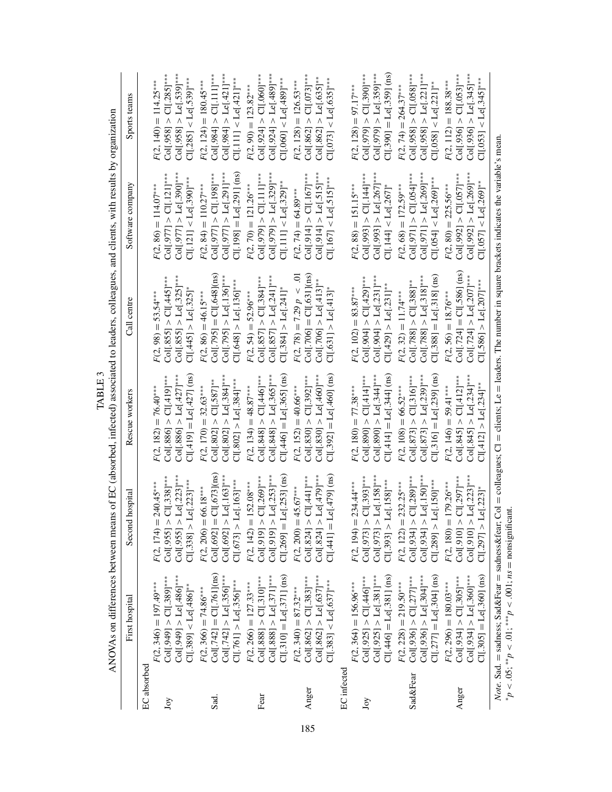| i<br>i<br>.<br>.<br>. |
|-----------------------|
|-----------------------|

|             | First hospital                                         | hospita<br>Second                                             | Rescue workers                                                         | Call centre                                                             | Software company                                                     | Sports teams                                                                                                                                                                                                                                                                                                        |
|-------------|--------------------------------------------------------|---------------------------------------------------------------|------------------------------------------------------------------------|-------------------------------------------------------------------------|----------------------------------------------------------------------|---------------------------------------------------------------------------------------------------------------------------------------------------------------------------------------------------------------------------------------------------------------------------------------------------------------------|
| EC absorbed |                                                        |                                                               |                                                                        |                                                                         |                                                                      |                                                                                                                                                                                                                                                                                                                     |
| Joy         | $Col[.949] > Cl[.389]$ ***<br>$F(2, 346) = 197.49***$  | $CI[.338]$ ***<br>$240.45***$<br>$F(2, 174) =$<br>Col[.955] > | $\text{Col}[\.886] > \text{Cl}[\.419]^{***}$<br>$F(2, 182) = 76.40***$ | $\text{Col}[.855] > \text{Cl}[.445]^{**}$<br>$F(2, 98) = 53.54***$      | $\text{Col}[.977] > \text{Cl}[.121]^{***}$<br>$F(2, 86) = 114.07***$ | $Col[.958] > Cl[.285]^{**}$<br>$F(2, 140) = 114.25***$                                                                                                                                                                                                                                                              |
|             | $Col[.949] > Le[.486]$ ***                             | $Le$ [.223]**<br>Col[.955] >                                  | $Col[.886] > Le[.427]$ **                                              | $\text{Col}$ [.855] > Le[.325]***                                       | $\text{Col}[.977] > \text{Le}[.390]$ ***                             | $\text{Col}[.958] > \text{Le}[.539]^{**}$                                                                                                                                                                                                                                                                           |
|             | $\text{Cl}[.389] < \text{Le}[.486]^{**}$               | $CI[.338] > Le[.223]$ ***                                     | $\text{Cl}[.419] = \text{Le}[.427]$ (ns)                               | $CI[.445] > Le[.325]$ *                                                 | $\text{Cl}$ [.121] < Le[.390]***                                     | $C11.2851 < Le$ [.539]**                                                                                                                                                                                                                                                                                            |
|             | $F(2, 366) = 74.86***$                                 | 66.18***<br>$F(2, 206) =$                                     | $F(2, 170) = 32.63***$                                                 | $F(2, 86) = 46.15***$                                                   | $F(2, 84) = 110.27***$                                               | $F(2, 124) = 180.45***$                                                                                                                                                                                                                                                                                             |
| Sad.        | $Col[.742] = Cl[.761](ns)$                             | $CI[.673]$ (ns)<br>$Col[.692] =$                              | $\text{Col}$ [.802] > $\text{Cl}$ [.587]**                             | $Col[.795] = Cl[.648]$ (ns)                                             | $\text{Col}[.977] > \text{Cl}[-198]^{***}$                           | $\frac{1}{2}$ $\frac{1}{2}$ $\frac{1}{2}$ $\frac{1}{2}$ $\frac{1}{2}$ $\frac{1}{2}$ $\frac{1}{2}$ $\frac{1}{2}$ $\frac{1}{2}$ $\frac{1}{2}$ $\frac{1}{2}$ $\frac{1}{2}$ $\frac{1}{2}$ $\frac{1}{2}$ $\frac{1}{2}$ $\frac{1}{2}$ $\frac{1}{2}$ $\frac{1}{2}$ $\frac{1}{2}$ $\frac{1}{2}$ $\frac{1}{2}$ $\frac{1}{2}$ |
|             | $Col[.742] > Le[.356]$ ***<br>$Cl[.761] > Le[.356]***$ | Le[.163]***<br>$CI[.673] > Le[.163]^{***}$<br>Col[.692] >     | $Col[.802] > Le[.384]$ **<br>$CI[.802] > Le[.384]$ ***                 | $\text{Col}[.795] > \text{Le}[.136]^{***}$<br>$Cl[.648] > Le[.136]$ *** | $Col[.977] > Le[.291]$ ***<br>$Cl[.198] = Le[.291]$ (ns)             | $Col[.984] > Le[.421]$ **<br>$Cl[.111] < Le[.421]$ **                                                                                                                                                                                                                                                               |
|             | $F(2, 266) = 127.33***$                                | $F(2, 142) = 152.08***$                                       | $F(2, 134) = 48.87***$                                                 | $F(2, 54) = 52.96***$                                                   | $F(2, 70) = 121.26***$                                               | $F(2, 90) = 123.82***$                                                                                                                                                                                                                                                                                              |
| Fear        | $Col[.888] > Cl[.310]^{***}$                           | $CI[.269]$ ***<br>Col[.919] >                                 | $\text{Col}[.848] > \text{Cl}[.446]$ ***                               | $Col[.857] > Cl[.384]$ **                                               | $Col[.979] > Cl[.111]$ **                                            | $Col[.924] > Cl[.060]$ **                                                                                                                                                                                                                                                                                           |
|             | $Col[.888] > Le[.371]^{***}$                           | $Le[.253]$ ***<br>Col[.919] >                                 | $Col[.848] > Le[.365]$ ***                                             | $Col[.857] > Le[.241]$ ***                                              | $Col[.979] > Le[.329]$ ***                                           | $Col[.924] > Le[.489]$ **                                                                                                                                                                                                                                                                                           |
|             | $Cl[.310] = Le[.371]$ (ns)                             | $Cl[.269] = Le[.253]$ (ns)                                    | $C1[-446] = Le[0.365]$ (ns)                                            | CI[.384] > Le[.241]                                                     | $C1[.111] < Le[.329]^{**}$                                           | $\text{Cl}[\,060] < \text{Le}[\,.489]^{***}$                                                                                                                                                                                                                                                                        |
|             | $F(2, 340) = 87.32***$                                 | 45.67***<br>$F(2, 200) =$                                     | $F(2, 152) = 40.66***$                                                 | $F(2, 78) = 7.29 p \le .01$                                             | $F(2, 74) = 64.89***$                                                | $F(2, 128) = 126.53***$                                                                                                                                                                                                                                                                                             |
| Anger       | $Col[.862] > Cl[.383]$ ***                             | $CI[.441]$ ***<br>Col[.824] >                                 | $\text{Col}(.830] > \text{Cl}(.392]^{***}$                             | $Col[.706] = Cl[.631]$ (ns)                                             | $\text{Col}[.914] > \text{Cl}[.167]^{***}$                           | $Col[.862] > Cl[.073]^{**}$                                                                                                                                                                                                                                                                                         |
|             | $Col[.862] > Le[.637]$ ***                             | Le[.479]***<br>Col[.824] >                                    | $\text{Col}[.830] > \text{Le}[.460]$ ***                               | $Col[.706] > Le[.413]$ **                                               | $\text{Col}[.914] > \text{Le}[.515]^{***}$                           | $\text{Col}$ [.862] > Le[.635]**                                                                                                                                                                                                                                                                                    |
|             | $Cl[.383] < Le[.637]$ ***                              | $Le[.479]$ (ns)<br>$CI[.441] = I$                             | $Cl[.392] = Le[.460]$ (ns)                                             | $Cl[.631] > Le[.413]$ *                                                 | $Cl[.167] <$ Le[.515]***                                             | $Cl[.073] < Le[.635]^{***}$                                                                                                                                                                                                                                                                                         |
| EC infected |                                                        |                                                               |                                                                        |                                                                         |                                                                      |                                                                                                                                                                                                                                                                                                                     |
|             | $F(2, 364) = 156.96***$                                | 234.44***<br>$F(2, 194) =$                                    | $F(2, 180) = 77.38***$                                                 | $F(2, 102) = 83.87***$                                                  | $F(2, 88) = 151.15***$                                               | $F(2, 128) = 97.17***$                                                                                                                                                                                                                                                                                              |
| Joy         | $\text{Col}[.925] > \text{Cl}[.446]$ ***               | $CI[.393]$ ***<br>Col[.973] >                                 | $\text{Col}[.890] > \text{Cl}[.414]^{***}$                             | $Col[.904] > Cl[.429]$ **                                               | $Col[.993] > Cl[.144]$ **                                            | $Col[.979] > Cl[.390]$ ***                                                                                                                                                                                                                                                                                          |
|             | $Col[.925] > Le[.381]^{***}$                           | $Le[.158]^{**}$<br>Col[.973] >                                | $Col[.890] > Le[.344]$ ***                                             | $Col[.904] > Le[.231]$ ***                                              | $\text{Col}$ [.993] > $\text{Le}$ [.267]***                          | $Col[.979] > Le[.359]$ **                                                                                                                                                                                                                                                                                           |
|             | $Cl[.446] = Le[.381]$ (ns)                             | $CI[.393] > Le[.158]$ ***                                     | $Cl[414] = Le[344]$ (ns)                                               | $Cl[.429] > Le[.231]$ **                                                | $211.144 < \text{Le}$ [.267]*                                        | $C11.390$ = Le[.359] (ns)                                                                                                                                                                                                                                                                                           |
|             | $F(2, 228) = 219.50***$                                | $232.25***$<br>$F(2, 122) =$                                  | $F(2, 108) = 66.52***$                                                 | $F(2, 32) = 11.74***$                                                   | $F(2, 68) = 172.59***$                                               | $F(2, 74) = 264.37***$                                                                                                                                                                                                                                                                                              |
| Sad&Fear    | $Col[.936] > Cl[.277]$ ***                             | $CI[.289]$ ***<br>Col[.934] >                                 | $\text{Col}[.873] > \text{Cl}[.316]^{***}$                             | $Col[.788] > Cl[.388]$ **                                               | $Col[.971] > Cl[.054]$ **                                            | $\text{Col}[.958] > \text{Cl}[.058]^{**}$                                                                                                                                                                                                                                                                           |
|             | $\text{Col}[.936] > \text{Le}[.304]^{***}$             | Le[.150]**<br>Col[.934] >                                     | $Col[.873] > Le[.239]$ ***                                             | $Col[.788] > Le[.318]$ ***                                              | $Col[.971] > Le[.269]$ ***                                           | $Col[.958] > Le[.221]$ **                                                                                                                                                                                                                                                                                           |
|             | $Cl[.277] = Le[.304]$ (ns)                             | $Cl[.289] > Le[.150]^{***}$                                   | $C1[.316] = Le[.239]$ (ns)                                             | $CI[.388] = Le[.318]$ (ns)                                              | $\text{Cl}[.054] < \text{Le}[.269]$ ***                              | $C1(.058] < \text{Le}$ $[.221]^{**}$                                                                                                                                                                                                                                                                                |
|             | $F(2, 296) = 180.03***$                                | $F(2, 180) = 179.26***$                                       | $F(2, 146) = 59.41***$                                                 | $F(2, 56) = 18.76***$                                                   | $F(2, 80) = 225.56***$                                               | $F(2, 112) = 188.38***$                                                                                                                                                                                                                                                                                             |
| Anger       | $Col[.934] > Cl[.305]$ ***                             | $CI[.297]$ ***<br>Col[.910] >                                 | $\text{Col}[.845] > \text{Cl}[.412]$ ***                               | Coll.724] = Cll.586 (ns)                                                | $Col[.992] > Cl[.057]$ ***                                           | $\frac{1}{2}$ oll $-936$   $\geq$ $\frac{1}{2}$   $053$ ]****                                                                                                                                                                                                                                                       |
|             | $Col[.934] > Le[.360]$ ***                             | $Le[.223]***$<br>Col[.910] >                                  | $Col[.845] > Le[.234]$ ***                                             | $Col[.724] > Le[.207]$ ***                                              | $\text{Col}[.992] > \text{Le}[.269]^{***}$                           | $\text{Col}[.936] > \text{Le}[.345]$ **                                                                                                                                                                                                                                                                             |
|             | $Cl[.305] = Le[.360]$ (ns)                             | $CI[.297] > Le[.223]^*$                                       | $Cl[.412] > Le[.234]$ **                                               | $Cl[.586] > Le[.207]$ ***                                               | $Cl[.057] < Le[.269]^{**}$                                           | $C1[.053] < Le[.345]$ ***                                                                                                                                                                                                                                                                                           |
| -<br>م      |                                                        |                                                               |                                                                        |                                                                         |                                                                      |                                                                                                                                                                                                                                                                                                                     |

<span id="page-8-0"></span>*Note*. Sad. = sadness; Sad&Fear = sadness&fear; Col = colleagues; Cl = clients; Le = leaders. The number in square brackets indicates the variable's mean.<br>\*p < .05; \*\*p < .01; \*\*\*p < .001; ns = nonsignificant. *Note*. Sad. = sadness; Sad&Fear = sadness&fear; Col = colleagues; Cl = clients; Le = leaders. The number in square brackets indicates the variable's mean. ∗*p* < .05; ∗∗*p* < .01; ∗∗∗*p* < .001; *ns* = nonsignificant.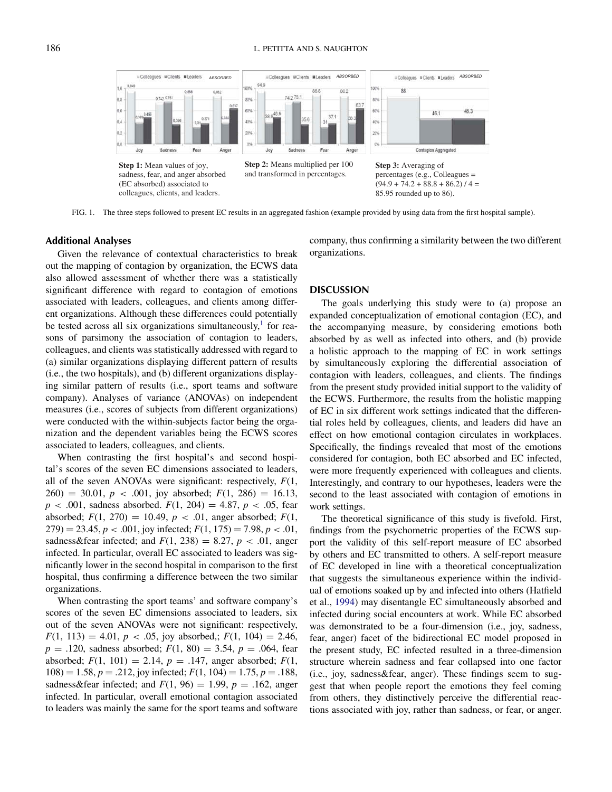#### <span id="page-9-0"></span>186 L. PETITTA AND S. NAUGHTON



FIG. 1. The three steps followed to present EC results in an aggregated fashion (example provided by using data from the first hospital sample).

#### **Additional Analyses**

Given the relevance of contextual characteristics to break out the mapping of contagion by organization, the ECWS data also allowed assessment of whether there was a statistically significant difference with regard to contagion of emotions associated with leaders, colleagues, and clients among different organizations. Although these differences could potentially be tested across all six organizations simultaneously, $<sup>1</sup>$  $<sup>1</sup>$  $<sup>1</sup>$  for rea-</sup> sons of parsimony the association of contagion to leaders, colleagues, and clients was statistically addressed with regard to (a) similar organizations displaying different pattern of results (i.e., the two hospitals), and (b) different organizations displaying similar pattern of results (i.e., sport teams and software company). Analyses of variance (ANOVAs) on independent measures (i.e., scores of subjects from different organizations) were conducted with the within-subjects factor being the organization and the dependent variables being the ECWS scores associated to leaders, colleagues, and clients.

When contrasting the first hospital's and second hospital's scores of the seven EC dimensions associated to leaders, all of the seven ANOVAs were significant: respectively, *F*(1,  $260$ ) = 30.01,  $p < .001$ , joy absorbed;  $F(1, 286) = 16.13$ ,  $p < .001$ , sadness absorbed.  $F(1, 204) = 4.87$ ,  $p < .05$ , fear absorbed;  $F(1, 270) = 10.49$ ,  $p < .01$ , anger absorbed;  $F(1, 270) = 10.49$ ,  $p < .01$ , anger absorbed;  $279$ ) = 23.45,  $p < .001$ , joy infected;  $F(1, 175) = 7.98$ ,  $p < .01$ , sadness&fear infected; and  $F(1, 238) = 8.27$ ,  $p < .01$ , anger infected. In particular, overall EC associated to leaders was significantly lower in the second hospital in comparison to the first hospital, thus confirming a difference between the two similar organizations.

When contrasting the sport teams' and software company's scores of the seven EC dimensions associated to leaders, six out of the seven ANOVAs were not significant: respectively,  $F(1, 113) = 4.01, p < .05$ , joy absorbed,;  $F(1, 104) = 2.46$ ,  $p = .120$ , sadness absorbed;  $F(1, 80) = 3.54$ ,  $p = .064$ , fear absorbed;  $F(1, 101) = 2.14$ ,  $p = .147$ , anger absorbed;  $F(1, 101) = 2.14$ ,  $p = .147$ , anger absorbed;  $108$ ) = 1.58,  $p = .212$ , joy infected;  $F(1, 104) = 1.75$ ,  $p = .188$ , sadness&fear infected; and  $F(1, 96) = 1.99$ ,  $p = .162$ , anger infected. In particular, overall emotional contagion associated to leaders was mainly the same for the sport teams and software

company, thus confirming a similarity between the two different organizations.

#### **DISCUSSION**

The goals underlying this study were to (a) propose an expanded conceptualization of emotional contagion (EC), and the accompanying measure, by considering emotions both absorbed by as well as infected into others, and (b) provide a holistic approach to the mapping of EC in work settings by simultaneously exploring the differential association of contagion with leaders, colleagues, and clients. The findings from the present study provided initial support to the validity of the ECWS. Furthermore, the results from the holistic mapping of EC in six different work settings indicated that the differential roles held by colleagues, clients, and leaders did have an effect on how emotional contagion circulates in workplaces. Specifically, the findings revealed that most of the emotions considered for contagion, both EC absorbed and EC infected, were more frequently experienced with colleagues and clients. Interestingly, and contrary to our hypotheses, leaders were the second to the least associated with contagion of emotions in work settings.

The theoretical significance of this study is fivefold. First, findings from the psychometric properties of the ECWS support the validity of this self-report measure of EC absorbed by others and EC transmitted to others. A self-report measure of EC developed in line with a theoretical conceptualization that suggests the simultaneous experience within the individual of emotions soaked up by and infected into others (Hatfield et al., [1994\)](#page-14-0) may disentangle EC simultaneously absorbed and infected during social encounters at work. While EC absorbed was demonstrated to be a four-dimension (i.e., joy, sadness, fear, anger) facet of the bidirectional EC model proposed in the present study, EC infected resulted in a three-dimension structure wherein sadness and fear collapsed into one factor (i.e., joy, sadness&fear, anger). These findings seem to suggest that when people report the emotions they feel coming from others, they distinctively perceive the differential reactions associated with joy, rather than sadness, or fear, or anger.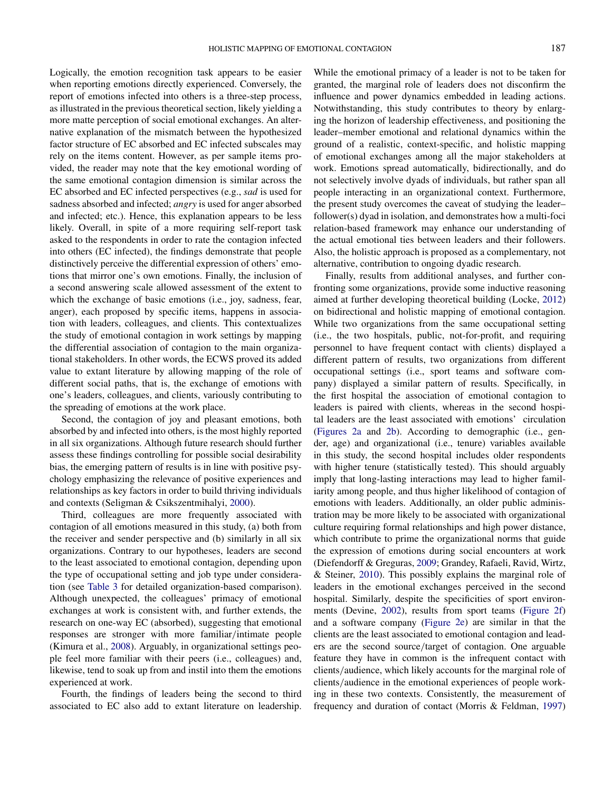Logically, the emotion recognition task appears to be easier when reporting emotions directly experienced. Conversely, the report of emotions infected into others is a three-step process, as illustrated in the previous theoretical section, likely yielding a more matte perception of social emotional exchanges. An alternative explanation of the mismatch between the hypothesized factor structure of EC absorbed and EC infected subscales may rely on the items content. However, as per sample items provided, the reader may note that the key emotional wording of the same emotional contagion dimension is similar across the EC absorbed and EC infected perspectives (e.g., *sad* is used for sadness absorbed and infected; *angry* is used for anger absorbed and infected; etc.). Hence, this explanation appears to be less likely. Overall, in spite of a more requiring self-report task asked to the respondents in order to rate the contagion infected into others (EC infected), the findings demonstrate that people distinctively perceive the differential expression of others' emotions that mirror one's own emotions. Finally, the inclusion of a second answering scale allowed assessment of the extent to which the exchange of basic emotions (i.e., joy, sadness, fear, anger), each proposed by specific items, happens in association with leaders, colleagues, and clients. This contextualizes the study of emotional contagion in work settings by mapping the differential association of contagion to the main organizational stakeholders. In other words, the ECWS proved its added value to extant literature by allowing mapping of the role of different social paths, that is, the exchange of emotions with one's leaders, colleagues, and clients, variously contributing to the spreading of emotions at the work place.

Second, the contagion of joy and pleasant emotions, both absorbed by and infected into others, is the most highly reported in all six organizations. Although future research should further assess these findings controlling for possible social desirability bias, the emerging pattern of results is in line with positive psychology emphasizing the relevance of positive experiences and relationships as key factors in order to build thriving individuals and contexts (Seligman & Csikszentmihalyi, [2000\)](#page-14-34).

Third, colleagues are more frequently associated with contagion of all emotions measured in this study, (a) both from the receiver and sender perspective and (b) similarly in all six organizations. Contrary to our hypotheses, leaders are second to the least associated to emotional contagion, depending upon the type of occupational setting and job type under consideration (see [Table 3](#page-8-0) for detailed organization-based comparison). Although unexpected, the colleagues' primacy of emotional exchanges at work is consistent with, and further extends, the research on one-way EC (absorbed), suggesting that emotional responses are stronger with more familiar/intimate people (Kimura et al., [2008\)](#page-14-16). Arguably, in organizational settings people feel more familiar with their peers (i.e., colleagues) and, likewise, tend to soak up from and instil into them the emotions experienced at work.

Fourth, the findings of leaders being the second to third associated to EC also add to extant literature on leadership.

While the emotional primacy of a leader is not to be taken for granted, the marginal role of leaders does not disconfirm the influence and power dynamics embedded in leading actions. Notwithstanding, this study contributes to theory by enlarging the horizon of leadership effectiveness, and positioning the leader–member emotional and relational dynamics within the ground of a realistic, context-specific, and holistic mapping of emotional exchanges among all the major stakeholders at work. Emotions spread automatically, bidirectionally, and do not selectively involve dyads of individuals, but rather span all people interacting in an organizational context. Furthermore, the present study overcomes the caveat of studying the leader– follower(s) dyad in isolation, and demonstrates how a multi-foci relation-based framework may enhance our understanding of the actual emotional ties between leaders and their followers. Also, the holistic approach is proposed as a complementary, not alternative, contribution to ongoing dyadic research.

Finally, results from additional analyses, and further confronting some organizations, provide some inductive reasoning aimed at further developing theoretical building (Locke, [2012\)](#page-14-35) on bidirectional and holistic mapping of emotional contagion. While two organizations from the same occupational setting (i.e., the two hospitals, public, not-for-profit, and requiring personnel to have frequent contact with clients) displayed a different pattern of results, two organizations from different occupational settings (i.e., sport teams and software company) displayed a similar pattern of results. Specifically, in the first hospital the association of emotional contagion to leaders is paired with clients, whereas in the second hospital leaders are the least associated with emotions' circulation [\(Figures 2a](#page-11-0) and [2b\)](#page-11-0). According to demographic (i.e., gender, age) and organizational (i.e., tenure) variables available in this study, the second hospital includes older respondents with higher tenure (statistically tested). This should arguably imply that long-lasting interactions may lead to higher familiarity among people, and thus higher likelihood of contagion of emotions with leaders. Additionally, an older public administration may be more likely to be associated with organizational culture requiring formal relationships and high power distance, which contribute to prime the organizational norms that guide the expression of emotions during social encounters at work (Diefendorff & Greguras, [2009;](#page-14-36) Grandey, Rafaeli, Ravid, Wirtz, & Steiner, [2010\)](#page-14-37). This possibly explains the marginal role of leaders in the emotional exchanges perceived in the second hospital. Similarly, despite the specificities of sport environments (Devine, [2002\)](#page-14-15), results from sport teams [\(Figure 2f\)](#page-11-0) and a software company [\(Figure](#page-11-0) 2e) are similar in that the clients are the least associated to emotional contagion and leaders are the second source/target of contagion. One arguable feature they have in common is the infrequent contact with clients/audience, which likely accounts for the marginal role of clients/audience in the emotional experiences of people working in these two contexts. Consistently, the measurement of frequency and duration of contact (Morris & Feldman, [1997\)](#page-14-14)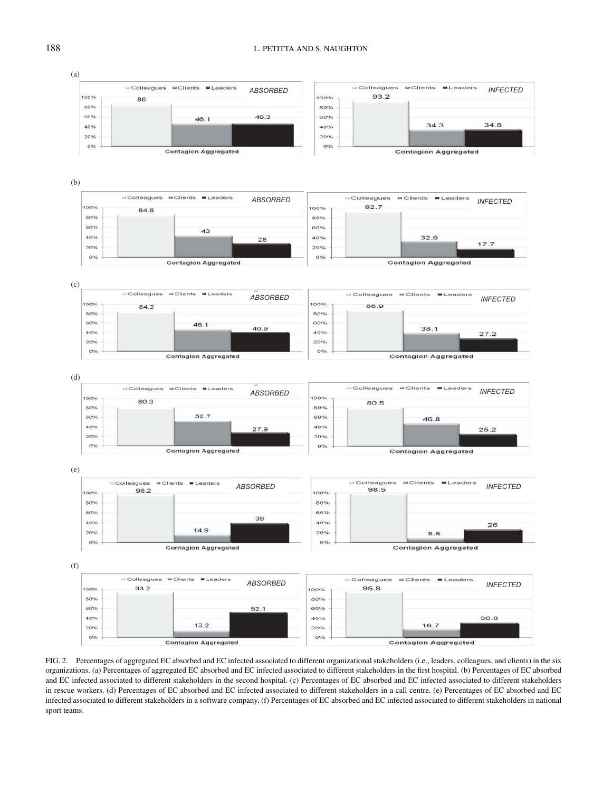#### 188 L. PETITTA AND S. NAUGHTON

<span id="page-11-0"></span>

FIG. 2. Percentages of aggregated EC absorbed and EC infected associated to different organizational stakeholders (i.e., leaders, colleagues, and clients) in the six organizations. (a) Percentages of aggregated EC absorbed and EC infected associated to different stakeholders in the first hospital. (b) Percentages of EC absorbed and EC infected associated to different stakeholders in the second hospital. (c) Percentages of EC absorbed and EC infected associated to different stakeholders in rescue workers. (d) Percentages of EC absorbed and EC infected associated to different stakeholders in a call centre. (e) Percentages of EC absorbed and EC infected associated to different stakeholders in a software company. (f) Percentages of EC absorbed and EC infected associated to different stakeholders in national sport teams.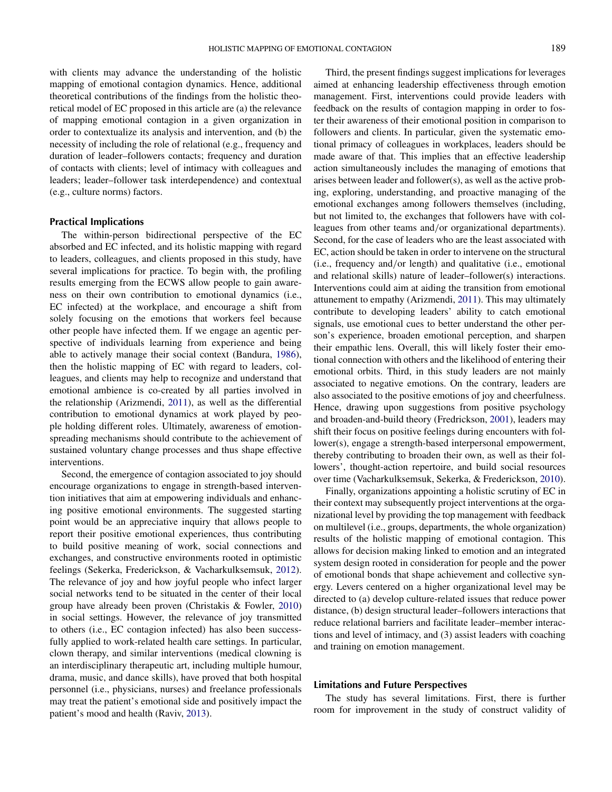with clients may advance the understanding of the holistic mapping of emotional contagion dynamics. Hence, additional theoretical contributions of the findings from the holistic theoretical model of EC proposed in this article are (a) the relevance of mapping emotional contagion in a given organization in order to contextualize its analysis and intervention, and (b) the necessity of including the role of relational (e.g., frequency and duration of leader–followers contacts; frequency and duration of contacts with clients; level of intimacy with colleagues and leaders; leader–follower task interdependence) and contextual (e.g., culture norms) factors.

#### **Practical Implications**

The within-person bidirectional perspective of the EC absorbed and EC infected, and its holistic mapping with regard to leaders, colleagues, and clients proposed in this study, have several implications for practice. To begin with, the profiling results emerging from the ECWS allow people to gain awareness on their own contribution to emotional dynamics (i.e., EC infected) at the workplace, and encourage a shift from solely focusing on the emotions that workers feel because other people have infected them. If we engage an agentic perspective of individuals learning from experience and being able to actively manage their social context (Bandura, [1986\)](#page-13-8), then the holistic mapping of EC with regard to leaders, colleagues, and clients may help to recognize and understand that emotional ambience is co-created by all parties involved in the relationship (Arizmendi, [2011\)](#page-13-9), as well as the differential contribution to emotional dynamics at work played by people holding different roles. Ultimately, awareness of emotionspreading mechanisms should contribute to the achievement of sustained voluntary change processes and thus shape effective interventions.

Second, the emergence of contagion associated to joy should encourage organizations to engage in strength-based intervention initiatives that aim at empowering individuals and enhancing positive emotional environments. The suggested starting point would be an appreciative inquiry that allows people to report their positive emotional experiences, thus contributing to build positive meaning of work, social connections and exchanges, and constructive environments rooted in optimistic feelings (Sekerka, Frederickson, & Vacharkulksemsuk, [2012\)](#page-14-38). The relevance of joy and how joyful people who infect larger social networks tend to be situated in the center of their local group have already been proven (Christakis & Fowler, [2010\)](#page-14-39) in social settings. However, the relevance of joy transmitted to others (i.e., EC contagion infected) has also been successfully applied to work-related health care settings. In particular, clown therapy, and similar interventions (medical clowning is an interdisciplinary therapeutic art, including multiple humour, drama, music, and dance skills), have proved that both hospital personnel (i.e., physicians, nurses) and freelance professionals may treat the patient's emotional side and positively impact the patient's mood and health (Raviv, [2013\)](#page-14-40).

Third, the present findings suggest implications for leverages aimed at enhancing leadership effectiveness through emotion management. First, interventions could provide leaders with feedback on the results of contagion mapping in order to foster their awareness of their emotional position in comparison to followers and clients. In particular, given the systematic emotional primacy of colleagues in workplaces, leaders should be made aware of that. This implies that an effective leadership action simultaneously includes the managing of emotions that arises between leader and follower(s), as well as the active probing, exploring, understanding, and proactive managing of the emotional exchanges among followers themselves (including, but not limited to, the exchanges that followers have with colleagues from other teams and/or organizational departments). Second, for the case of leaders who are the least associated with EC, action should be taken in order to intervene on the structural (i.e., frequency and/or length) and qualitative (i.e., emotional and relational skills) nature of leader–follower(s) interactions. Interventions could aim at aiding the transition from emotional attunement to empathy (Arizmendi, [2011\)](#page-13-9). This may ultimately contribute to developing leaders' ability to catch emotional signals, use emotional cues to better understand the other person's experience, broaden emotional perception, and sharpen their empathic lens. Overall, this will likely foster their emotional connection with others and the likelihood of entering their emotional orbits. Third, in this study leaders are not mainly associated to negative emotions. On the contrary, leaders are also associated to the positive emotions of joy and cheerfulness. Hence, drawing upon suggestions from positive psychology and broaden-and-build theory (Fredrickson, [2001\)](#page-14-41), leaders may shift their focus on positive feelings during encounters with follower(s), engage a strength-based interpersonal empowerment, thereby contributing to broaden their own, as well as their followers', thought-action repertoire, and build social resources over time (Vacharkulksemsuk, Sekerka, & Frederickson, [2010\)](#page-15-4).

Finally, organizations appointing a holistic scrutiny of EC in their context may subsequently project interventions at the organizational level by providing the top management with feedback on multilevel (i.e., groups, departments, the whole organization) results of the holistic mapping of emotional contagion. This allows for decision making linked to emotion and an integrated system design rooted in consideration for people and the power of emotional bonds that shape achievement and collective synergy. Levers centered on a higher organizational level may be directed to (a) develop culture-related issues that reduce power distance, (b) design structural leader–followers interactions that reduce relational barriers and facilitate leader–member interactions and level of intimacy, and (3) assist leaders with coaching and training on emotion management.

#### **Limitations and Future Perspectives**

The study has several limitations. First, there is further room for improvement in the study of construct validity of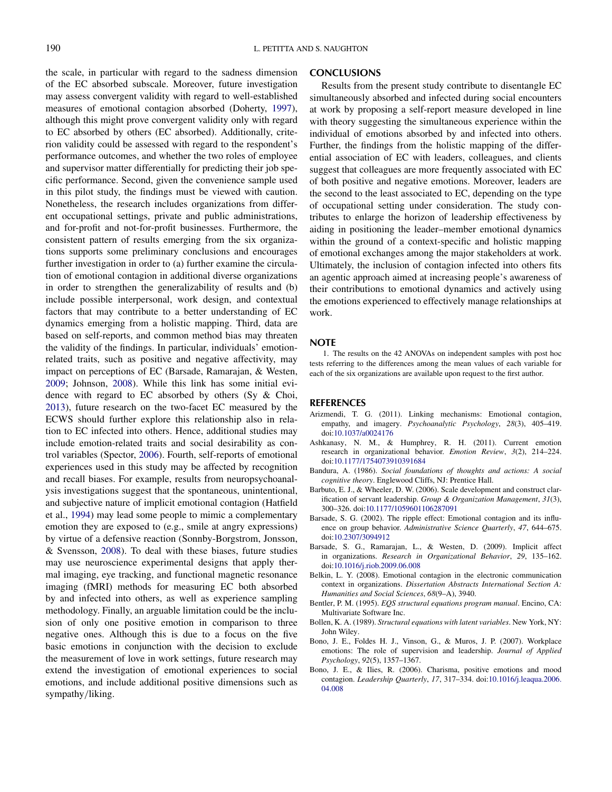the scale, in particular with regard to the sadness dimension of the EC absorbed subscale. Moreover, future investigation may assess convergent validity with regard to well-established measures of emotional contagion absorbed (Doherty, [1997\)](#page-14-13), although this might prove convergent validity only with regard to EC absorbed by others (EC absorbed). Additionally, criterion validity could be assessed with regard to the respondent's performance outcomes, and whether the two roles of employee and supervisor matter differentially for predicting their job specific performance. Second, given the convenience sample used in this pilot study, the findings must be viewed with caution. Nonetheless, the research includes organizations from different occupational settings, private and public administrations, and for-profit and not-for-profit businesses. Furthermore, the consistent pattern of results emerging from the six organizations supports some preliminary conclusions and encourages further investigation in order to (a) further examine the circulation of emotional contagion in additional diverse organizations in order to strengthen the generalizability of results and (b) include possible interpersonal, work design, and contextual factors that may contribute to a better understanding of EC dynamics emerging from a holistic mapping. Third, data are based on self-reports, and common method bias may threaten the validity of the findings. In particular, individuals' emotionrelated traits, such as positive and negative affectivity, may impact on perceptions of EC (Barsade, Ramarajan, & Westen, [2009;](#page-13-10) Johnson, [2008\)](#page-14-29). While this link has some initial evidence with regard to EC absorbed by others (Sy & Choi, [2013\)](#page-15-5), future research on the two-facet EC measured by the ECWS should further explore this relationship also in relation to EC infected into others. Hence, additional studies may include emotion-related traits and social desirability as control variables (Spector, [2006\)](#page-15-6). Fourth, self-reports of emotional experiences used in this study may be affected by recognition and recall biases. For example, results from neuropsychoanalysis investigations suggest that the spontaneous, unintentional, and subjective nature of implicit emotional contagion (Hatfield et al., [1994\)](#page-14-0) may lead some people to mimic a complementary emotion they are exposed to (e.g., smile at angry expressions) by virtue of a defensive reaction (Sonnby-Borgstrom, Jonsson, & Svensson, [2008\)](#page-14-42). To deal with these biases, future studies may use neuroscience experimental designs that apply thermal imaging, eye tracking, and functional magnetic resonance imaging (fMRI) methods for measuring EC both absorbed by and infected into others, as well as experience sampling methodology. Finally, an arguable limitation could be the inclusion of only one positive emotion in comparison to three negative ones. Although this is due to a focus on the five basic emotions in conjunction with the decision to exclude the measurement of love in work settings, future research may extend the investigation of emotional experiences to social emotions, and include additional positive dimensions such as sympathy/liking.

#### **CONCLUSIONS**

Results from the present study contribute to disentangle EC simultaneously absorbed and infected during social encounters at work by proposing a self-report measure developed in line with theory suggesting the simultaneous experience within the individual of emotions absorbed by and infected into others. Further, the findings from the holistic mapping of the differential association of EC with leaders, colleagues, and clients suggest that colleagues are more frequently associated with EC of both positive and negative emotions. Moreover, leaders are the second to the least associated to EC, depending on the type of occupational setting under consideration. The study contributes to enlarge the horizon of leadership effectiveness by aiding in positioning the leader–member emotional dynamics within the ground of a context-specific and holistic mapping of emotional exchanges among the major stakeholders at work. Ultimately, the inclusion of contagion infected into others fits an agentic approach aimed at increasing people's awareness of their contributions to emotional dynamics and actively using the emotions experienced to effectively manage relationships at work.

#### **NOTE**

<span id="page-13-7"></span>1. The results on the 42 ANOVAs on independent samples with post hoc tests referring to the differences among the mean values of each variable for each of the six organizations are available upon request to the first author.

#### **REFERENCES**

- <span id="page-13-9"></span>Arizmendi, T. G. (2011). Linking mechanisms: Emotional contagion, empathy, and imagery. *Psychoanalytic Psychology*, *28*(3), 405–419. doi[:10.1037/a0024176](http://dx.doi.org/10.1037/a0024176)
- <span id="page-13-0"></span>Ashkanasy, N. M., & Humphrey, R. H. (2011). Current emotion research in organizational behavior. *Emotion Review*, *3*(2), 214–224. doi[:10.1177/1754073910391684](http://dx.doi.org/10.1177/1754073910391684)
- <span id="page-13-8"></span>Bandura, A. (1986). *Social foundations of thoughts and actions: A social cognitive theory*. Englewood Cliffs, NJ: Prentice Hall.
- <span id="page-13-1"></span>Barbuto, E. J., & Wheeler, D. W. (2006). Scale development and construct clarification of servant leadership. *Group & Organization Management*, *31*(3), 300–326. doi[:10.1177/1059601106287091](http://dx.doi.org/10.1177/1059601106287091)
- <span id="page-13-3"></span>Barsade, S. G. (2002). The ripple effect: Emotional contagion and its influence on group behavior. *Administrative Science Quarterly*, *47*, 644–675. doi[:10.2307/3094912](http://dx.doi.org/10.2307/3094912)
- <span id="page-13-10"></span>Barsade, S. G., Ramarajan, L., & Westen, D. (2009). Implicit affect in organizations. *Research in Organizational Behavior*, *29*, 135–162. doi[:10.1016/j.riob.2009.06.008](http://dx.doi.org/10.1016/j.riob.2009.06.008)
- <span id="page-13-2"></span>Belkin, L. Y. (2008). Emotional contagion in the electronic communication context in organizations. *Dissertation Abstracts International Section A: Humanities and Social Sciences*, *68*(9–A), 3940.
- <span id="page-13-6"></span>Bentler, P. M. (1995). *EQS structural equations program manual*. Encino, CA: Multivariate Software Inc.
- <span id="page-13-5"></span>Bollen, K. A. (1989). *Structural equations with latent variables*. New York, NY: John Wiley.
- Bono, J. E., Foldes H. J., Vinson, G., & Muros, J. P. (2007). Workplace emotions: The role of supervision and leadership. *Journal of Applied Psychology*, *92*(5), 1357–1367.
- <span id="page-13-4"></span>Bono, J. E., & Ilies, R. (2006). Charisma, positive emotions and mood contagion. *Leadership Quarterly*, *17*, 317–334. doi:10.1016/j.leaqua.2006. 04.008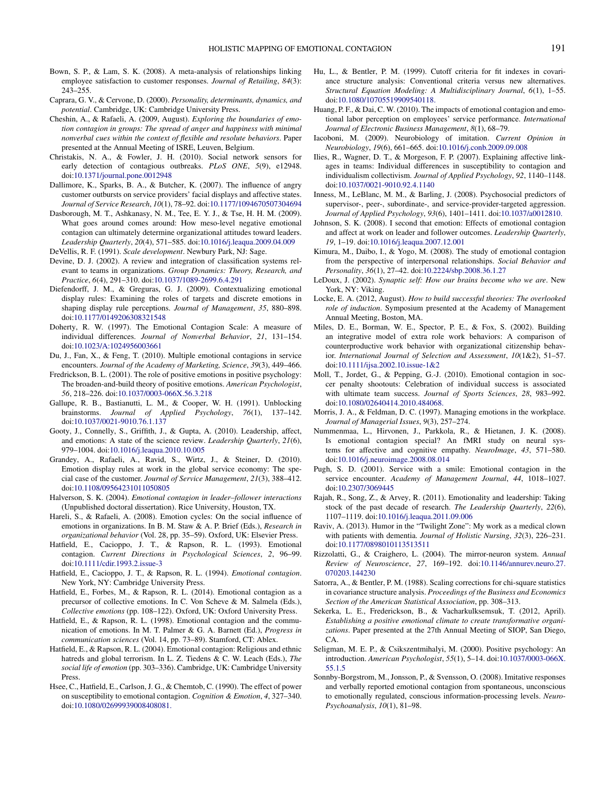- Bown, S. P., & Lam, S. K. (2008). A meta-analysis of relationships linking employee satisfaction to customer responses. *Journal of Retailing*, *84*(3): 243–255.
- <span id="page-14-12"></span>Caprara, G. V., & Cervone, D. (2000). *Personality, determinants, dynamics, and potential*. Cambridge, UK: Cambridge University Press.
- <span id="page-14-26"></span>Cheshin, A., & Rafaeli, A. (2009, August). *Exploring the boundaries of emotion contagion in groups: The spread of anger and happiness with minimal nonverbal cues within the context of flexible and resolute behaviors.* Paper presented at the Annual Meeting of ISRE, Leuven, Belgium.
- <span id="page-14-39"></span>Christakis, N. A., & Fowler, J. H. (2010). Social network sensors for early detection of contagious outbreaks. *PLoS ONE*, *5*(9), e12948. doi[:10.1371/journal.pone.0012948](http://dx.doi.org/10.1371/journal.pone.0012948)
- <span id="page-14-19"></span>Dallimore, K., Sparks, B. A., & Butcher, K. (2007). The influence of angry customer outbursts on service providers' facial displays and affective states. *Journal of Service Research*, *10*(1), 78–92. doi[:10.1177/1094670507304694](http://dx.doi.org/10.1177/\gdef yes{no}\penalty \z@ \gdef \ {\penalty \z@ }\gdef no{no}\gdef yes{yes}\gdef \ \gdef \ {\ }\gdef no{no}\gdef yes{yes}{\penalty \z@ \gdef \ {\penalty \z@ }\gdef no{no}\gdef yes{yes}}1094670507304694)
- <span id="page-14-17"></span>Dasborough, M. T., Ashkanasy, N. M., Tee, E. Y. J., & Tse, H. H. M. (2009). What goes around comes around: How meso-level negative emotional contagion can ultimately determine organizational attitudes toward leaders. *Leadership Quarterly*, *20*(4), 571–585. doi[:10.1016/j.leaqua.2009.04.009](http://dx.doi.org/10.1016/j.leaqua.2009.04.009)
- <span id="page-14-33"></span>DeVellis, R. F. (1991). *Scale development*. Newbury Park, NJ: Sage.
- <span id="page-14-15"></span>Devine, D. J. (2002). A review and integration of classification systems relevant to teams in organizations. *Group Dynamics: Theory, Research, and Practice*, *6*(4), 291–310. doi[:10.1037/1089-2699.6.4.291](http://dx.doi.org/10.1037/1089-2699.6.4.291)
- <span id="page-14-36"></span>Diefendorff, J. M., & Greguras, G. J. (2009). Contextualizing emotional display rules: Examining the roles of targets and discrete emotions in shaping display rule perceptions. *Journal of Management*, *35*, 880–898. doi[:10.1177/0149206308321548](http://dx.doi.org/10.1177/0149206308321548)
- <span id="page-14-13"></span>Doherty, R. W. (1997). The Emotional Contagion Scale: A measure of individual differences. *Journal of Nonverbal Behavior*, *21*, 131–154. doi[:10.1023/A:1024956003661](http://dx.doi.org/10.1023/A:1024956003661)
- <span id="page-14-22"></span>Du, J., Fan, X., & Feng, T. (2010). Multiple emotional contagions in service encounters. *Journal of the Academy of Marketing, Science*, *39*(3), 449–466.
- <span id="page-14-41"></span>Fredrickson, B. L. (2001). The role of positive emotions in positive psychology: The broaden-and-build theory of positive emotions. *American Psychologist*, *56*, 218–226. doi[:10.1037/0003-066X.56.3.218](http://dx.doi.org/10.1037/0003-066X.56.3.218)
- <span id="page-14-24"></span>Gallupe, R. B., Bastianutti, L. M., & Cooper, W. H. (1991). Unblocking brainstorms. *Journal of Applied Psychology*, *76*(1), 137–142. doi[:10.1037/0021-9010.76.1.137](http://dx.doi.org/10.1037/0021-9010.76.1.137)
- <span id="page-14-5"></span>Gooty, J., Connelly, S., Griffith, J., & Gupta, A. (2010). Leadership, affect, and emotions: A state of the science review. *Leadership Quarterly*, *21*(6), 979–1004. doi[:10.1016/j.leaqua.2010.10.005](http://dx.doi.org/10.1016/j.leaqua.2010.10.005)
- <span id="page-14-37"></span>Grandey, A., Rafaeli, A., Ravid, S., Wirtz, J., & Steiner, D. (2010). Emotion display rules at work in the global service economy: The special case of the customer. *Journal of Service Management*, *21*(3), 388–412. doi[:10.1108/09564231011050805](http://dx.doi.org/10.1108/09564231011050805)
- <span id="page-14-28"></span>Halverson, S. K. (2004). *Emotional contagion in leader–follower interactions* (Unpublished doctoral dissertation). Rice University, Houston, TX.
- <span id="page-14-18"></span>Hareli, S., & Rafaeli, A. (2008). Emotion cycles: On the social influence of emotions in organizations. In B. M. Staw & A. P. Brief (Eds.), *Research in organizational behavior* (Vol. 28, pp. 35–59). Oxford, UK: Elsevier Press.
- <span id="page-14-7"></span>Hatfield, E., Cacioppo, J. T., & Rapson, R. L. (1993). Emotional contagion. *Current Directions in Psychological Sciences*, *2*, 96–99. doi[:10.1111/cdir.1993.2.issue-3](http://dx.doi.org/10.1111/cdir.1993.2.issue-3)
- <span id="page-14-0"></span>Hatfield, E., Cacioppo, J. T., & Rapson, R. L. (1994). *Emotional contagion*. New York, NY: Cambridge University Press.
- <span id="page-14-4"></span>Hatfield, E., Forbes, M., & Rapson, R. L. (2014). Emotional contagion as a precursor of collective emotions. In C. Von Scheve & M. Salmela (Eds.), *Collective emotions* (pp. 108–122). Oxford, UK: Oxford University Press.
- <span id="page-14-3"></span>Hatfield, E., & Rapson, R. L. (1998). Emotional contagion and the communication of emotions. In M. T. Palmer & G. A. Barnett (Ed.), *Progress in communication sciences* (Vol. 14, pp. 73–89). Stamford, CT: Ablex.
- <span id="page-14-2"></span>Hatfield, E., & Rapson, R. L. (2004). Emotional contagion: Religious and ethnic hatreds and global terrorism. In L. Z. Tiedens & C. W. Leach (Eds.), *The social life of emotion* (pp. 303–336). Cambridge, UK: Cambridge University Press.
- <span id="page-14-20"></span>Hsee, C., Hatfield, E., Carlson, J. G., & Chemtob, C. (1990). The effect of power on susceptibility to emotional contagion. *Cognition & Emotion*, *4*, 327–340. doi[:10.1080/02699939008408081.](http://dx.doi.org/10.1080/02699939008408081.)
- <span id="page-14-32"></span>Hu, L., & Bentler, P. M. (1999). Cutoff criteria for fit indexes in covariance structure analysis: Conventional criteria versus new alternatives. *Structural Equation Modeling: A Multidisciplinary Journal*, *6*(1), 1–55. doi[:10.1080/10705519909540118.](http://dx.doi.org/10.1080/10705519909540118.)
- <span id="page-14-23"></span>Huang, P. F., & Dai, C. W. (2010). The impacts of emotional contagion and emotional labor perception on employees' service performance. *International Journal of Electronic Business Management*, *8*(1), 68–79.
- <span id="page-14-8"></span>Iacoboni, M. (2009). Neurobiology of imitation. *Current Opinion in Neurobiology*, *19*(6), 661–665. doi[:10.1016/j.conb.2009.09.008](http://dx.doi.org/10.1016/j.conb.2009.09.008)
- <span id="page-14-25"></span>Ilies, R., Wagner, D. T., & Morgeson, F. P. (2007). Explaining affective linkages in teams: Individual differences in susceptibility to contagion and individualism collectivism. *Journal of Applied Psychology*, *92*, 1140–1148. doi[:10.1037/0021-9010.92.4.1140](http://dx.doi.org/10.1037/0021-9010.92.4.1140)
- <span id="page-14-30"></span>Inness, M., LeBlanc, M. M., & Barling, J. (2008). Psychosocial predictors of supervisor-, peer-, subordinate-, and service-provider-targeted aggression. *Journal of Applied Psychology*, *93*(6), 1401–1411. doi[:10.1037/a0012810.](http://dx.doi.org/10.1037/a0012810.)
- <span id="page-14-29"></span>Johnson, S. K. (2008). I second that emotion: Effects of emotional contagion and affect at work on leader and follower outcomes. *Leadership Quarterly*, *19*, 1–19. doi[:10.1016/j.leaqua.2007.12.001](http://dx.doi.org/10.1016/j.leaqua.2007.12.001)
- <span id="page-14-16"></span>Kimura, M., Daibo, I., & Yogo, M. (2008). The study of emotional contagion from the perspective of interpersonal relationships. *Social Behavior and Personality*, *36*(1), 27–42. doi[:10.2224/sbp.2008.36.1.27](http://dx.doi.org/10.2224/sbp.2008.36.1.27)
- <span id="page-14-1"></span>LeDoux, J. (2002). *Synaptic self: How our brains become who we are*. New York, NY: Viking.
- <span id="page-14-35"></span>Locke, E. A. (2012, August). *How to build successful theories: The overlooked role of induction*. Symposium presented at the Academy of Management Annual Meeting, Boston, MA.
- <span id="page-14-11"></span>Miles, D. E., Borman, W. E., Spector, P. E., & Fox, S. (2002). Building an integrative model of extra role work behaviors: A comparison of counterproductive work behavior with organizational citizenship behavior. *International Journal of Selection and Assessment*, *10*(1&2), 51–57. doi[:10.1111/ijsa.2002.10.issue-1&2](http://dx.doi.org/10.1111/ijsa.2002.10.issue-1\gdef yes{no}\&\gdef \ {\&}\gdef no{no}\gdef yes{yes}\gdef \ \gdef \ {\ }\gdef no{no}\gdef yes{yes}{\&\gdef \ {\&}\gdef no{no}\gdef yes{yes}}2)
- <span id="page-14-27"></span>Moll, T., Jordet, G., & Pepping, G.-J. (2010). Emotional contagion in soccer penalty shootouts: Celebration of individual success is associated with ultimate team success. *Journal of Sports Sciences*, *28*, 983–992. doi[:10.1080/02640414.2010.484068.](http://dx.doi.org/10.1080/02640414.2010.484068.)
- <span id="page-14-14"></span>Morris, J. A., & Feldman, D. C. (1997). Managing emotions in the workplace. *Journal of Managerial Issues*, *9*(3), 257–274.
- <span id="page-14-9"></span>Nummenmaa, L., Hirvonen, J., Parkkola, R., & Hietanen, J. K. (2008). Is emotional contagion special? An fMRI study on neural systems for affective and cognitive empathy. *NeuroImage*, *43*, 571–580. doi[:10.1016/j.neuroimage.2008.08.014](http://dx.doi.org/10.1016/j.neuroimage.2008.08.014)
- <span id="page-14-21"></span>Pugh, S. D. (2001). Service with a smile: Emotional contagion in the service encounter. *Academy of Management Journal*, *44*, 1018–1027. doi[:10.2307/3069445](http://dx.doi.org/10.2307/3069445)
- <span id="page-14-6"></span>Rajah, R., Song, Z., & Arvey, R. (2011). Emotionality and leadership: Taking stock of the past decade of research. *The Leadership Quarterly*, *22*(6), 1107–1119. doi[:10.1016/j.leaqua.2011.09.006](http://dx.doi.org/10.1016/j.leaqua.2011.09.006)
- <span id="page-14-40"></span>Raviv, A. (2013). Humor in the "Twilight Zone": My work as a medical clown with patients with dementia. *Journal of Holistic Nursing*, *32*(3), 226–231. doi[:10.1177/0898010113513511](http://dx.doi.org/10.1177/0898010113513511)
- <span id="page-14-10"></span>Rizzolatti, G., & Craighero, L. (2004). The mirror-neuron system. *Annual Review of Neuroscience*, *27*[, 169–192. doi:](http://dx.doi.org/10.1146/\gdef yes{no}\penalty \z@ \gdef \ {\penalty \z@ }\gdef no{no}\gdef yes{yes}\gdef \ \gdef \ {\ }\gdef no{no}\gdef yes{yes}{\penalty \z@ \gdef \ {\penalty \z@ }\gdef no{no}\gdef yes{yes}}annurev.\gdef yes{no}\penalty \z@ \gdef \ {\penalty \z@ }\gdef no{no}\gdef yes{yes}\gdef \ \gdef \ {\ }\gdef no{no}\gdef yes{yes}{\penalty \z@ \gdef \ {\penalty \z@ }\gdef no{no}\gdef yes{yes}}neuro.\gdef yes{no}\penalty \z@ \gdef \ {\penalty \z@ }\gdef no{no}\gdef yes{yes}\gdef \ \gdef \ {\ }\gdef no{no}\gdef yes{yes}{\penalty \z@ \gdef \ {\penalty \z@ }\gdef no{no}\gdef yes{yes}}27.\gdef yes{no}\penalty \z@ \gdef \ {\penalty \z@ }\gdef no{no}\gdef yes{yes}\gdef \ \gdef \ {\ }\gdef no{no}\gdef yes{yes}{\penalty \z@ \gdef \ {\penalty \z@ }\gdef no{no}\gdef yes{yes}}070203.144230)10.1146/annurev.neuro.27. 070203.144230
- <span id="page-14-31"></span>Satorra, A., & Bentler, P. M. (1988). Scaling corrections for chi-square statistics in covariance structure analysis. *Proceedings of the Business and Economics Section of the American Statistical Association*, pp. 308–313.
- <span id="page-14-38"></span>Sekerka, L. E., Frederickson, B., & Vacharkulksemsuk, T. (2012, April). *Establishing a positive emotional climate to create transformative organizations*. Paper presented at the 27th Annual Meeting of SIOP, San Diego, CA.
- <span id="page-14-34"></span>Seligman, M. E. P., & Csikszentmihalyi, M. (2000). Positive psychology: An introduction. *[American Psychologist](http://dx.doi.org/10.1037/\gdef yes{no}\penalty \z@ \gdef \ {\penalty \z@ }\gdef no{no}\gdef yes{yes}\gdef \ \gdef \ {\ }\gdef no{no}\gdef yes{yes}{\penalty \z@ \gdef \ {\penalty \z@ }\gdef no{no}\gdef yes{yes}}0003-\gdef yes{no}\penalty \z@ \gdef \ {\penalty \z@ }\gdef no{no}\gdef yes{yes}\gdef \ \gdef \ {\ }\gdef no{no}\gdef yes{yes}{\penalty \z@ \gdef \ {\penalty \z@ }\gdef no{no}\gdef yes{yes}}066X.\gdef yes{no}\penalty \z@ \gdef \ {\penalty \z@ }\gdef no{no}\gdef yes{yes}\gdef \ \gdef \ {\ }\gdef no{no}\gdef yes{yes}{\penalty \z@ \gdef \ {\penalty \z@ }\gdef no{no}\gdef yes{yes}}55.1.5)*, *55*(1), 5–14. doi:10.1037/0003-066X. 55.1.5
- <span id="page-14-42"></span>Sonnby-Borgstrom, M., Jonsson, P., & Svensson, O. (2008). Imitative responses and verbally reported emotional contagion from spontaneous, unconscious to emotionally regulated, conscious information-processing levels. *Neuro-Psychoanalysis*, *10*(1), 81–98.